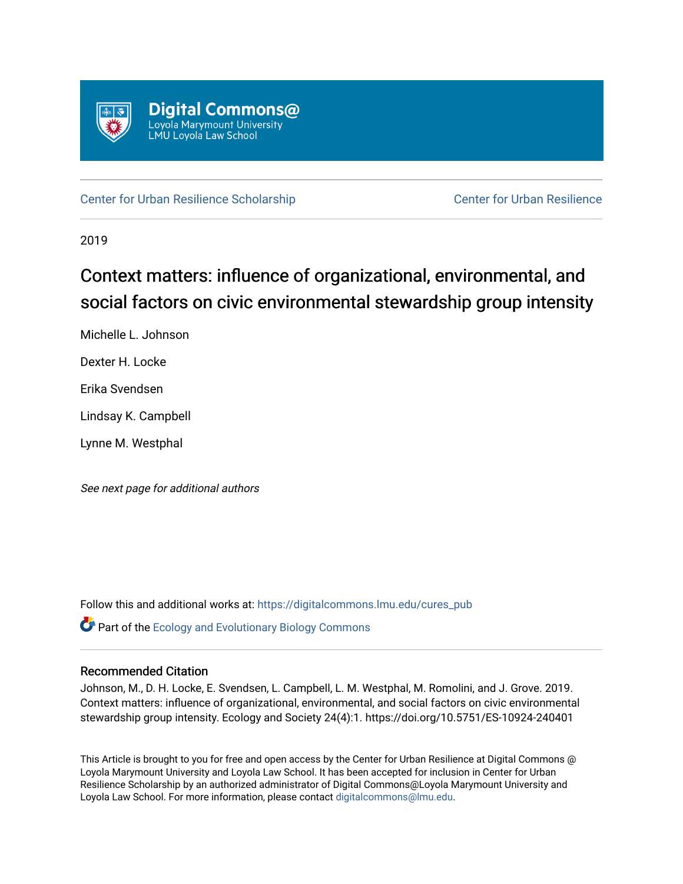

[Center for Urban Resilience Scholarship](https://digitalcommons.lmu.edu/cures_pub) Center for Urban Resilience

2019

## Context matters: influence of organizational, environmental, and social factors on civic environmental stewardship group intensity

Michelle L. Johnson

Dexter H. Locke

Erika Svendsen

Lindsay K. Campbell

Lynne M. Westphal

See next page for additional authors

Follow this and additional works at: [https://digitalcommons.lmu.edu/cures\\_pub](https://digitalcommons.lmu.edu/cures_pub?utm_source=digitalcommons.lmu.edu%2Fcures_pub%2F25&utm_medium=PDF&utm_campaign=PDFCoverPages) 

**Part of the [Ecology and Evolutionary Biology Commons](http://network.bepress.com/hgg/discipline/14?utm_source=digitalcommons.lmu.edu%2Fcures_pub%2F25&utm_medium=PDF&utm_campaign=PDFCoverPages)** 

### Recommended Citation

Johnson, M., D. H. Locke, E. Svendsen, L. Campbell, L. M. Westphal, M. Romolini, and J. Grove. 2019. Context matters: influence of organizational, environmental, and social factors on civic environmental stewardship group intensity. Ecology and Society 24(4):1. https://doi.org/10.5751/ES-10924-240401

This Article is brought to you for free and open access by the Center for Urban Resilience at Digital Commons @ Loyola Marymount University and Loyola Law School. It has been accepted for inclusion in Center for Urban Resilience Scholarship by an authorized administrator of Digital Commons@Loyola Marymount University and Loyola Law School. For more information, please contact [digitalcommons@lmu.edu](mailto:digitalcommons@lmu.edu).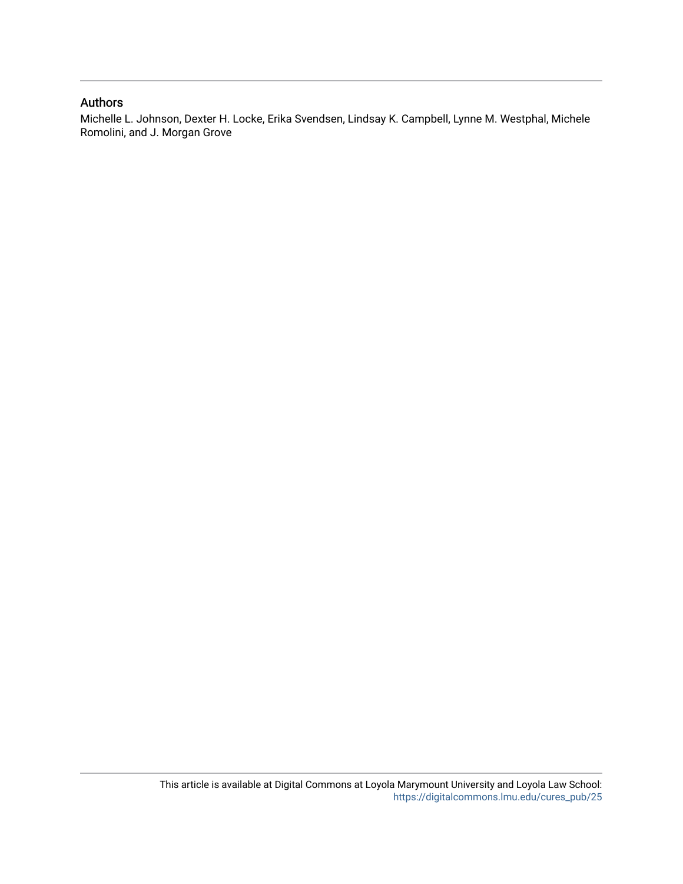### Authors

Michelle L. Johnson, Dexter H. Locke, Erika Svendsen, Lindsay K. Campbell, Lynne M. Westphal, Michele Romolini, and J. Morgan Grove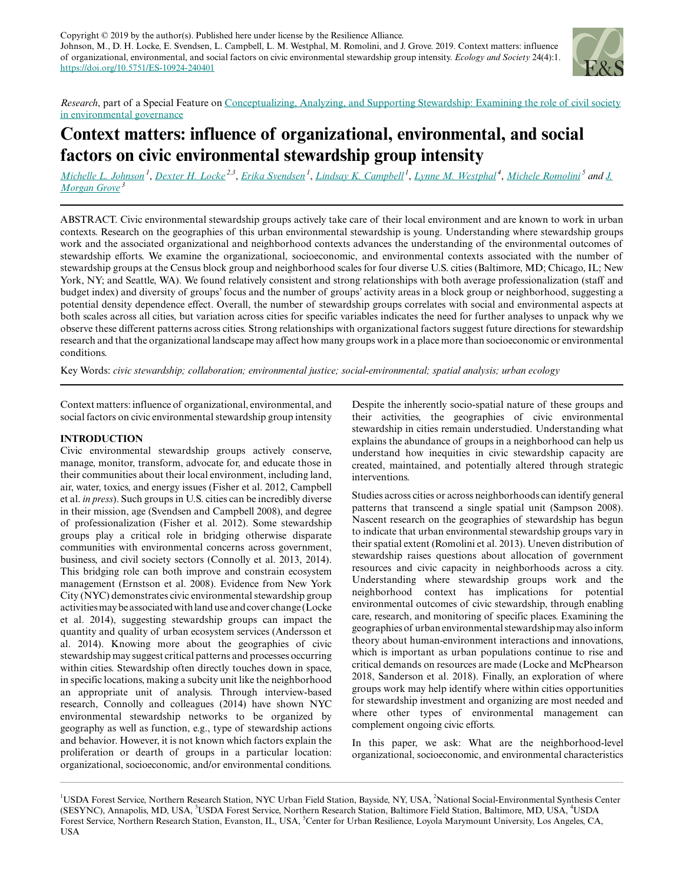

*Research*, part of a Special Feature on [Conceptualizing, Analyzing, and Supporting Stewardship: Examining the role of civil society](https://www.ecologyandsociety.org/viewissue.php?sf=138) [in environmental governance](https://www.ecologyandsociety.org/viewissue.php?sf=138)

## **Context matters: influence of organizational, environmental, and social factors on civic environmental stewardship group intensity**

[Michelle L. Johnson](mailto:michelle.l.johnson@usda.gov)<sup>1</sup>, [Dexter H. Locke](mailto:dexter.locke@gmail.com)<sup>2,3</sup>, [Erika Svendsen](mailto:esvendsen@usda.gov)<sup>1</sup>, [Lindsay K. Campbell](mailto:lindsay.campbell@usda.gov)<sup>1</sup>, [Lynne M. Westphal](mailto:lynne.westphal@usda.gov)<sup>4</sup>, [Michele Romolini](mailto:michele.romolini@lmu.edu)<sup>5</sup> and <u>[J.](mailto:mgrove@fs.fed.us)</u> *[Morgan Grove](mailto:mgrove@fs.fed.us)<sup>3</sup>*

ABSTRACT. Civic environmental stewardship groups actively take care of their local environment and are known to work in urban contexts. Research on the geographies of this urban environmental stewardship is young. Understanding where stewardship groups work and the associated organizational and neighborhood contexts advances the understanding of the environmental outcomes of stewardship efforts. We examine the organizational, socioeconomic, and environmental contexts associated with the number of stewardship groups at the Census block group and neighborhood scales for four diverse U.S. cities (Baltimore, MD; Chicago, IL; New York, NY; and Seattle, WA). We found relatively consistent and strong relationships with both average professionalization (staff and budget index) and diversity of groups' focus and the number of groups' activity areas in a block group or neighborhood, suggesting a potential density dependence effect. Overall, the number of stewardship groups correlates with social and environmental aspects at both scales across all cities, but variation across cities for specific variables indicates the need for further analyses to unpack why we observe these different patterns across cities. Strong relationships with organizational factors suggest future directions for stewardship research and that the organizational landscape may affect how many groups work in a place more than socioeconomic or environmental conditions.

Key Words: *civic stewardship; collaboration; environmental justice; social-environmental; spatial analysis; urban ecology*

Context matters: influence of organizational, environmental, and social factors on civic environmental stewardship group intensity

#### **INTRODUCTION**

Civic environmental stewardship groups actively conserve, manage, monitor, transform, advocate for, and educate those in their communities about their local environment, including land, air, water, toxics, and energy issues (Fisher et al. 2012, Campbell et al. *in press*). Such groups in U.S. cities can be incredibly diverse in their mission, age (Svendsen and Campbell 2008), and degree of professionalization (Fisher et al. 2012). Some stewardship groups play a critical role in bridging otherwise disparate communities with environmental concerns across government, business, and civil society sectors (Connolly et al. 2013, 2014). This bridging role can both improve and constrain ecosystem management (Ernstson et al. 2008). Evidence from New York City (NYC) demonstrates civic environmental stewardship group activities may be associated with land use and cover change (Locke et al. 2014), suggesting stewardship groups can impact the quantity and quality of urban ecosystem services (Andersson et al. 2014). Knowing more about the geographies of civic stewardship may suggest critical patterns and processes occurring within cities. Stewardship often directly touches down in space, in specific locations, making a subcity unit like the neighborhood an appropriate unit of analysis. Through interview-based research, Connolly and colleagues (2014) have shown NYC environmental stewardship networks to be organized by geography as well as function, e.g., type of stewardship actions and behavior. However, it is not known which factors explain the proliferation or dearth of groups in a particular location: organizational, socioeconomic, and/or environmental conditions.

Despite the inherently socio-spatial nature of these groups and their activities, the geographies of civic environmental stewardship in cities remain understudied. Understanding what explains the abundance of groups in a neighborhood can help us understand how inequities in civic stewardship capacity are created, maintained, and potentially altered through strategic interventions.

Studies across cities or across neighborhoods can identify general patterns that transcend a single spatial unit (Sampson 2008). Nascent research on the geographies of stewardship has begun to indicate that urban environmental stewardship groups vary in their spatial extent (Romolini et al. 2013). Uneven distribution of stewardship raises questions about allocation of government resources and civic capacity in neighborhoods across a city. Understanding where stewardship groups work and the neighborhood context has implications for potential environmental outcomes of civic stewardship, through enabling care, research, and monitoring of specific places. Examining the geographies of urban environmental stewardship may also inform theory about human-environment interactions and innovations, which is important as urban populations continue to rise and critical demands on resources are made (Locke and McPhearson 2018, Sanderson et al. 2018). Finally, an exploration of where groups work may help identify where within cities opportunities for stewardship investment and organizing are most needed and where other types of environmental management can complement ongoing civic efforts.

In this paper, we ask: What are the neighborhood-level organizational, socioeconomic, and environmental characteristics

<sup>&</sup>lt;sup>1</sup>USDA Forest Service, Northern Research Station, NYC Urban Field Station, Bayside, NY, USA, <sup>2</sup>National Social-Environmental Synthesis Center (SESYNC), Annapolis, MD, USA, <sup>3</sup>USDA Forest Service, Northern Research Station, Baltimore Field Station, Baltimore, MD, USA, <sup>4</sup>USDA Forest Service, Northern Research Station, Evanston, IL, USA, <sup>5</sup>Center for Urban Resilience, Loyola Marymount University, Los Angeles, CA, USA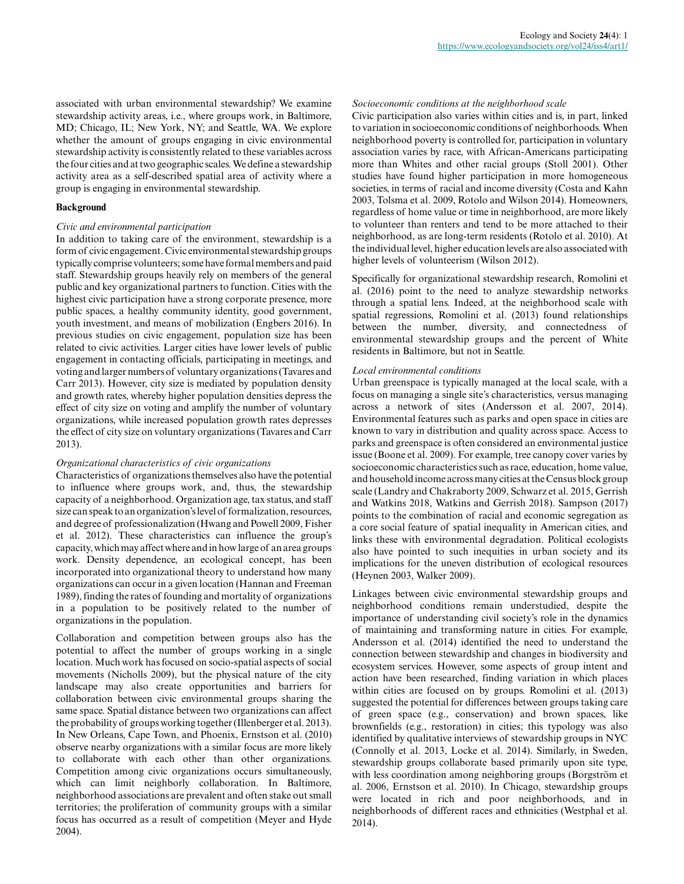associated with urban environmental stewardship? We examine stewardship activity areas, i.e., where groups work, in Baltimore, MD; Chicago, IL; New York, NY; and Seattle, WA. We explore whether the amount of groups engaging in civic environmental stewardship activity is consistently related to these variables across the four cities and at two geographic scales. We define a stewardship activity area as a self-described spatial area of activity where a group is engaging in environmental stewardship.

#### **Background**

#### *Civic and environmental participation*

In addition to taking care of the environment, stewardship is a form of civic engagement. Civic environmental stewardship groups typically comprise volunteers; some have formal members and paid staff. Stewardship groups heavily rely on members of the general public and key organizational partners to function. Cities with the highest civic participation have a strong corporate presence, more public spaces, a healthy community identity, good government, youth investment, and means of mobilization (Engbers 2016). In previous studies on civic engagement, population size has been related to civic activities. Larger cities have lower levels of public engagement in contacting officials, participating in meetings, and voting and larger numbers of voluntary organizations (Tavares and Carr 2013). However, city size is mediated by population density and growth rates, whereby higher population densities depress the effect of city size on voting and amplify the number of voluntary organizations, while increased population growth rates depresses the effect of city size on voluntary organizations (Tavares and Carr 2013).

#### *Organizational characteristics of civic organizations*

Characteristics of organizations themselves also have the potential to influence where groups work, and, thus, the stewardship capacity of a neighborhood. Organization age, tax status, and staff size can speak to an organization's level of formalization, resources, and degree of professionalization (Hwang and Powell 2009, Fisher et al. 2012). These characteristics can influence the group's capacity, which may affect where and in how large of an area groups work. Density dependence, an ecological concept, has been incorporated into organizational theory to understand how many organizations can occur in a given location (Hannan and Freeman 1989), finding the rates of founding and mortality of organizations in a population to be positively related to the number of organizations in the population.

Collaboration and competition between groups also has the potential to affect the number of groups working in a single location. Much work has focused on socio-spatial aspects of social movements (Nicholls 2009), but the physical nature of the city landscape may also create opportunities and barriers for collaboration between civic environmental groups sharing the same space. Spatial distance between two organizations can affect the probability of groups working together (Illenberger et al. 2013). In New Orleans, Cape Town, and Phoenix, Ernstson et al. (2010) observe nearby organizations with a similar focus are more likely to collaborate with each other than other organizations. Competition among civic organizations occurs simultaneously, which can limit neighborly collaboration. In Baltimore, neighborhood associations are prevalent and often stake out small territories; the proliferation of community groups with a similar focus has occurred as a result of competition (Meyer and Hyde 2004).

#### *Socioeconomic conditions at the neighborhood scale*

Civic participation also varies within cities and is, in part, linked to variation in socioeconomic conditions of neighborhoods. When neighborhood poverty is controlled for, participation in voluntary association varies by race, with African-Americans participating more than Whites and other racial groups (Stoll 2001). Other studies have found higher participation in more homogeneous societies, in terms of racial and income diversity (Costa and Kahn 2003, Tolsma et al. 2009, Rotolo and Wilson 2014). Homeowners, regardless of home value or time in neighborhood, are more likely to volunteer than renters and tend to be more attached to their neighborhood, as are long-term residents (Rotolo et al. 2010). At the individual level, higher education levels are also associated with higher levels of volunteerism (Wilson 2012).

Specifically for organizational stewardship research, Romolini et al. (2016) point to the need to analyze stewardship networks through a spatial lens. Indeed, at the neighborhood scale with spatial regressions, Romolini et al. (2013) found relationships between the number, diversity, and connectedness of environmental stewardship groups and the percent of White residents in Baltimore, but not in Seattle.

#### *Local environmental conditions*

Urban greenspace is typically managed at the local scale, with a focus on managing a single site's characteristics, versus managing across a network of sites (Andersson et al. 2007, 2014). Environmental features such as parks and open space in cities are known to vary in distribution and quality across space. Access to parks and greenspace is often considered an environmental justice issue (Boone et al. 2009). For example, tree canopy cover varies by socioeconomic characteristics such as race, education, home value, and household income across many cities at the Census block group scale (Landry and Chakraborty 2009, Schwarz et al. 2015, Gerrish and Watkins 2018, Watkins and Gerrish 2018). Sampson (2017) points to the combination of racial and economic segregation as a core social feature of spatial inequality in American cities, and links these with environmental degradation. Political ecologists also have pointed to such inequities in urban society and its implications for the uneven distribution of ecological resources (Heynen 2003, Walker 2009).

Linkages between civic environmental stewardship groups and neighborhood conditions remain understudied, despite the importance of understanding civil society's role in the dynamics of maintaining and transforming nature in cities. For example, Andersson et al. (2014) identified the need to understand the connection between stewardship and changes in biodiversity and ecosystem services. However, some aspects of group intent and action have been researched, finding variation in which places within cities are focused on by groups. Romolini et al. (2013) suggested the potential for differences between groups taking care of green space (e.g., conservation) and brown spaces, like brownfields (e.g., restoration) in cities; this typology was also identified by qualitative interviews of stewardship groups in NYC (Connolly et al. 2013, Locke et al. 2014). Similarly, in Sweden, stewardship groups collaborate based primarily upon site type, with less coordination among neighboring groups (Borgström et al. 2006, Ernstson et al. 2010). In Chicago, stewardship groups were located in rich and poor neighborhoods, and in neighborhoods of different races and ethnicities (Westphal et al. 2014).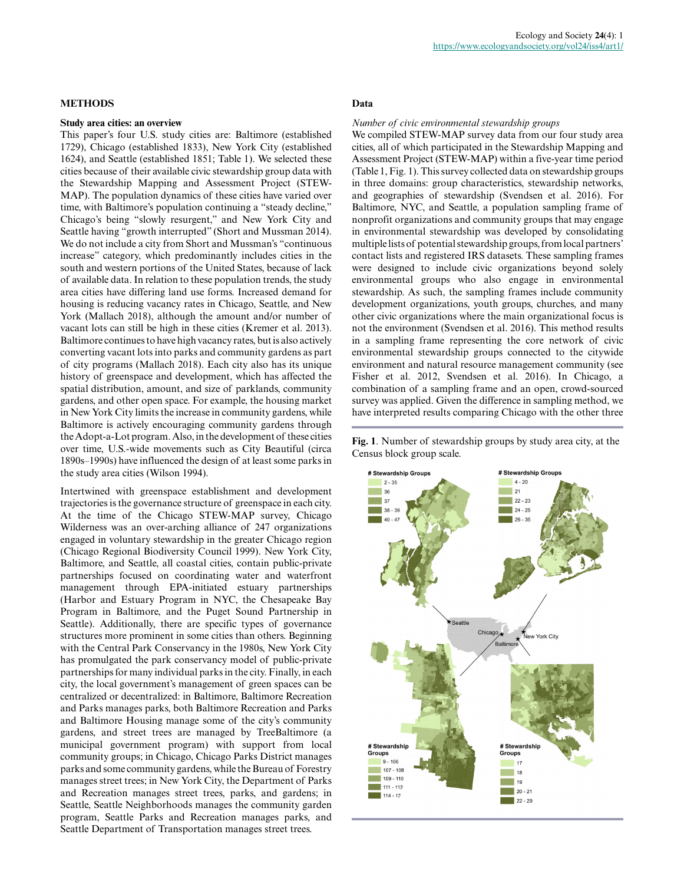#### **METHODS**

#### **Study area cities: an overview**

This paper's four U.S. study cities are: Baltimore (established 1729), Chicago (established 1833), New York City (established 1624), and Seattle (established 1851; Table 1). We selected these cities because of their available civic stewardship group data with the Stewardship Mapping and Assessment Project (STEW-MAP). The population dynamics of these cities have varied over time, with Baltimore's population continuing a "steady decline," Chicago's being "slowly resurgent," and New York City and Seattle having "growth interrupted" (Short and Mussman 2014). We do not include a city from Short and Mussman's "continuous increase" category, which predominantly includes cities in the south and western portions of the United States, because of lack of available data. In relation to these population trends, the study area cities have differing land use forms. Increased demand for housing is reducing vacancy rates in Chicago, Seattle, and New York (Mallach 2018), although the amount and/or number of vacant lots can still be high in these cities (Kremer et al. 2013). Baltimore continues to have high vacancy rates, but is also actively converting vacant lots into parks and community gardens as part of city programs (Mallach 2018). Each city also has its unique history of greenspace and development, which has affected the spatial distribution, amount, and size of parklands, community gardens, and other open space. For example, the housing market in New York City limits the increase in community gardens, while Baltimore is actively encouraging community gardens through the Adopt-a-Lot program. Also, in the development of these cities over time, U.S.-wide movements such as City Beautiful (circa 1890s–1990s) have influenced the design of at least some parks in the study area cities (Wilson 1994).

Intertwined with greenspace establishment and development trajectories is the governance structure of greenspace in each city. At the time of the Chicago STEW-MAP survey, Chicago Wilderness was an over-arching alliance of 247 organizations engaged in voluntary stewardship in the greater Chicago region (Chicago Regional Biodiversity Council 1999). New York City, Baltimore, and Seattle, all coastal cities, contain public-private partnerships focused on coordinating water and waterfront management through EPA-initiated estuary partnerships (Harbor and Estuary Program in NYC, the Chesapeake Bay Program in Baltimore, and the Puget Sound Partnership in Seattle). Additionally, there are specific types of governance structures more prominent in some cities than others. Beginning with the Central Park Conservancy in the 1980s, New York City has promulgated the park conservancy model of public-private partnerships for many individual parks in the city. Finally, in each city, the local government's management of green spaces can be centralized or decentralized: in Baltimore, Baltimore Recreation and Parks manages parks, both Baltimore Recreation and Parks and Baltimore Housing manage some of the city's community gardens, and street trees are managed by TreeBaltimore (a municipal government program) with support from local community groups; in Chicago, Chicago Parks District manages parks and some community gardens, while the Bureau of Forestry manages street trees; in New York City, the Department of Parks and Recreation manages street trees, parks, and gardens; in Seattle, Seattle Neighborhoods manages the community garden program, Seattle Parks and Recreation manages parks, and Seattle Department of Transportation manages street trees.

#### **Data**

#### *Number of civic environmental stewardship groups*

We compiled STEW-MAP survey data from our four study area cities, all of which participated in the Stewardship Mapping and Assessment Project (STEW-MAP) within a five-year time period (Table 1, Fig. 1). This survey collected data on stewardship groups in three domains: group characteristics, stewardship networks, and geographies of stewardship (Svendsen et al. 2016). For Baltimore, NYC, and Seattle, a population sampling frame of nonprofit organizations and community groups that may engage in environmental stewardship was developed by consolidating multiple lists of potential stewardship groups, from local partners' contact lists and registered IRS datasets. These sampling frames were designed to include civic organizations beyond solely environmental groups who also engage in environmental stewardship. As such, the sampling frames include community development organizations, youth groups, churches, and many other civic organizations where the main organizational focus is not the environment (Svendsen et al. 2016). This method results in a sampling frame representing the core network of civic environmental stewardship groups connected to the citywide environment and natural resource management community (see Fisher et al. 2012, Svendsen et al. 2016). In Chicago, a combination of a sampling frame and an open, crowd-sourced survey was applied. Given the difference in sampling method, we have interpreted results comparing Chicago with the other three

**Fig. 1**. Number of stewardship groups by study area city, at the Census block group scale.

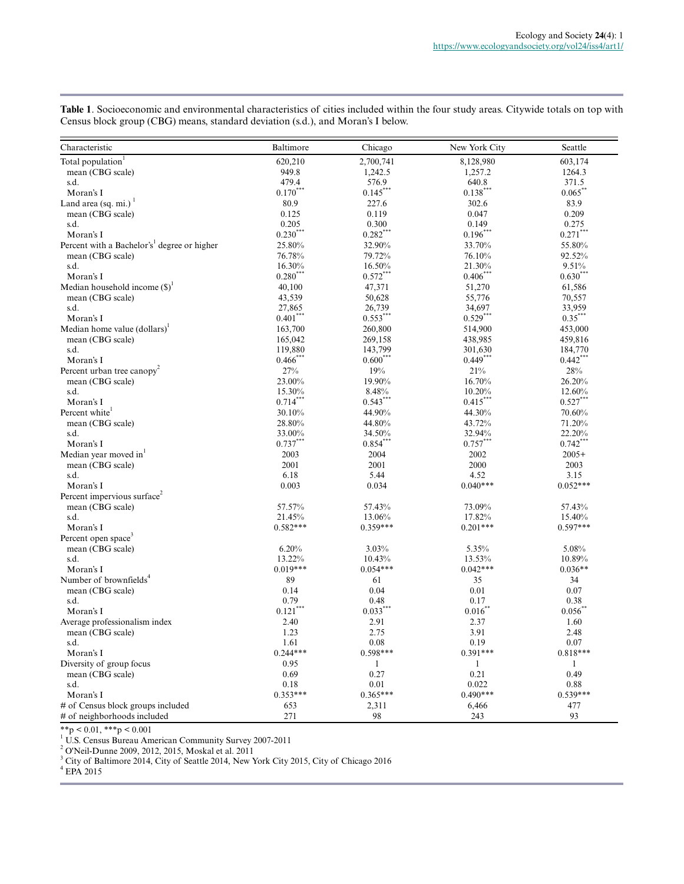| Characteristic                                          | Baltimore     | Chicago      | New York City | Seattle      |
|---------------------------------------------------------|---------------|--------------|---------------|--------------|
| Total population <sup>1</sup>                           | 620,210       | 2,700,741    | 8,128,980     | 603,174      |
| mean (CBG scale)                                        | 949.8         | 1,242.5      | 1,257.2       | 1264.3       |
| s.d.                                                    | 479.4         | 576.9        | 640.8         | 371.5        |
| Moran's I                                               | $0.170***$    | $0.145***$   | $0.138***$    | 0.065        |
| Land area (sq. mi.) $1$                                 | 80.9          | 227.6        | 302.6         | 83.9         |
| mean (CBG scale)                                        | 0.125         | 0.119        | 0.047         | 0.209        |
| s.d.                                                    | 0.205         | 0.300        | 0.149         | 0.275        |
| Moran's I                                               | $0.230***$    | $0.282***$   | $0.196***$    | $0.271$ ***  |
| Percent with a Bachelor's <sup>1</sup> degree or higher | 25.80%        | 32.90%       | 33.70%        | 55.80%       |
| mean (CBG scale)                                        | 76.78%        | 79.72%       | 76.10%        | 92.52%       |
| s.d.                                                    | 16.30%        | 16.50%       | 21.30%        | 9.51%        |
| Moran's I                                               | $0.280^{***}$ | $0.572***$   | $0.406***$    | $0.630^{10}$ |
| Median household income $(S)^1$                         | 40,100        | 47,371       | 51,270        | 61,586       |
| mean (CBG scale)                                        | 43,539        | 50,628       | 55,776        | 70,557       |
| s.d.                                                    | 27,865        | 26,739       | 34,697        | 33,959       |
| Moran's I                                               | $0.401***$    | $0.553***$   | $0.529***$    | $0.35***$    |
| Median home value $(dollars)^{1}$                       | 163,700       | 260,800      | 514,900       | 453,000      |
| mean (CBG scale)                                        | 165,042       | 269,158      | 438,985       | 459,816      |
| s.d.                                                    | 119,880       | 143,799      | 301,630       | 184,770      |
| Moran's I                                               | $0.466$ ***   | $0.600***$   | $0.449***$    | $0.442***$   |
| Percent urban tree canopy <sup>2</sup>                  | 27%           | 19%          | 21%           | $28\%$       |
| mean (CBG scale)                                        | 23.00%        | 19.90%       | 16.70%        | 26.20%       |
| s.d.                                                    | 15.30%        | 8.48%        | 10.20%        | 12.60%       |
| Moran's I                                               | $0.714***$    | $0.543***$   | $0.415***$    | $0.527***$   |
| Percent white <sup>1</sup>                              | 30.10%        | 44.90%       | 44.30%        | 70.60%       |
| mean (CBG scale)                                        | 28.80%        | 44.80%       | 43.72%        | 71.20%       |
| s.d.                                                    | 33.00%        | 34.50%       | 32.94%        | 22.20%       |
| Moran's I                                               | $0.737***$    | $0.854$ **   | $0.757***$    | $0.742***$   |
| Median year moved in <sup>1</sup>                       | 2003          | 2004         | 2002          | $2005+$      |
| mean (CBG scale)                                        | 2001          | 2001         | 2000          | 2003         |
| s.d.                                                    | 6.18          | 5.44         | 4.52          | 3.15         |
| Moran's I                                               | 0.003         | 0.034        | $0.040***$    | $0.052***$   |
| Percent impervious surface <sup>2</sup>                 |               |              |               |              |
| mean (CBG scale)                                        | 57.57%        | 57.43%       | 73.09%        | 57.43%       |
| s.d.                                                    | 21.45%        | 13.06%       | 17.82%        | 15.40%       |
| Moran's I                                               | $0.582***$    | $0.359***$   | $0.201***$    | $0.597***$   |
| Percent open space <sup>3</sup>                         |               |              |               |              |
| mean (CBG scale)                                        | 6.20%         | 3.03%        | 5.35%         | 5.08%        |
| s.d.                                                    | 13.22%        | 10.43%       | 13.53%        | 10.89%       |
| Moran's I                                               | $0.019***$    | $0.054***$   | $0.042***$    | $0.036**$    |
| Number of brownfields <sup>4</sup>                      | 89            | 61           | 35            | 34           |
| mean (CBG scale)                                        | 0.14          | 0.04         | 0.01          | 0.07         |
| s.d.                                                    | 0.79          | 0.48         | 0.17          | 0.38         |
| Moran's I                                               | $0.121$ ***   | $0.033***$   | 0.016         | 0.056        |
| Average professionalism index                           | 2.40          | 2.91         | 2.37          | 1.60         |
| mean (CBG scale)                                        | 1.23          | 2.75         | 3.91          | 2.48         |
| s.d.                                                    | 1.61          | 0.08         | 0.19          | 0.07         |
| Moran's I                                               | $0.244***$    | $0.598***$   | $0.391***$    | $0.818***$   |
| Diversity of group focus                                | 0.95          | $\mathbf{1}$ | $\mathbf{1}$  | $\mathbf{1}$ |
| mean (CBG scale)                                        | 0.69          | 0.27         | 0.21          | 0.49         |
| s.d.                                                    | 0.18          | 0.01         | 0.022         | 0.88         |
| Moran's I                                               | $0.353***$    | $0.365***$   | $0.490***$    | $0.539***$   |
| # of Census block groups included                       | 653           | 2,311        | 6,466         | 477          |
| # of neighborhoods included                             | 271           | 98           | 243           | 93           |

**Table 1**. Socioeconomic and environmental characteristics of cities included within the four study areas. Citywide totals on top with Census block group (CBG) means, standard deviation (s.d.), and Moran's I below.

\*\*p < 0.01, \*\*\*p < 0.001 1 U.S. Census Bureau American Community Survey 2007-2011

<sup>2</sup> O'Neil-Dunne 2009, 2012, 2015, Moskal et al. 2011

<sup>3</sup> City of Baltimore 2014, City of Seattle 2014, New York City 2015, City of Chicago 2016

4 EPA 2015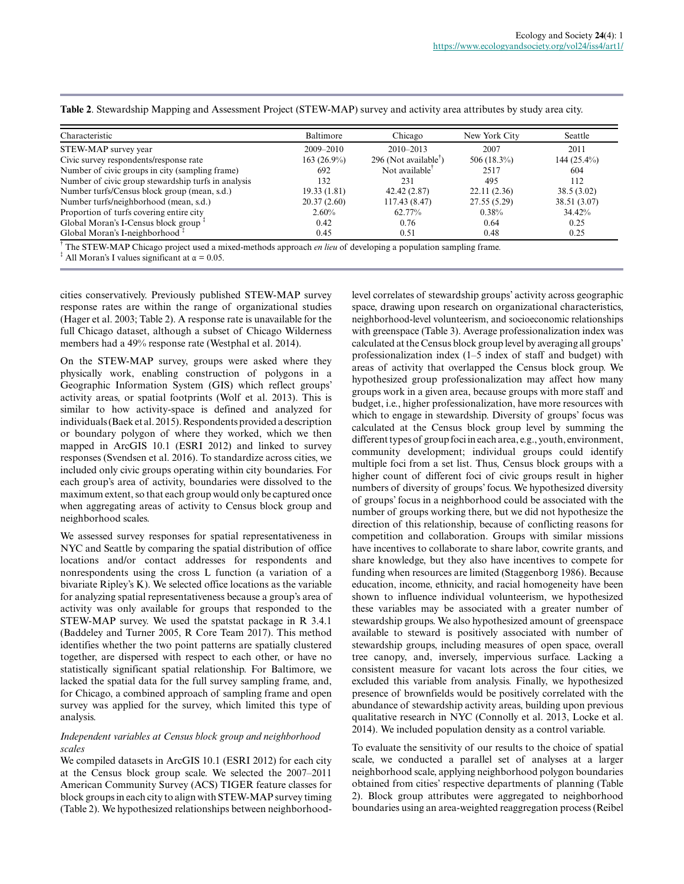| Characteristic                                      | Baltimore     | Chicago                                              | New York City  | Seattle       |
|-----------------------------------------------------|---------------|------------------------------------------------------|----------------|---------------|
| STEW-MAP survey year                                | $2009 - 2010$ | $2010 - 2013$                                        | 2007           | 2011          |
| Civic survey respondents/response rate              | $163(26.9\%)$ | 296 (Not available <sup><math>\bar{v}</math></sup> ) | 506 $(18.3\%)$ | $144(25.4\%)$ |
| Number of civic groups in city (sampling frame)     | 692           | Not available <sup>™</sup>                           | 2517           | 604           |
| Number of civic group stewardship turfs in analysis | 132           | 231                                                  | 495            | 112           |
| Number turfs/Census block group (mean, s.d.)        | 19.33(1.81)   | 42.42 (2.87)                                         | 22.11(2.36)    | 38.5(3.02)    |
| Number turfs/neighborhood (mean, s.d.)              | 20.37(2.60)   | 117.43 (8.47)                                        | 27.55(5.29)    | 38.51 (3.07)  |
| Proportion of turfs covering entire city            | $2.60\%$      | 62.77%                                               | $0.38\%$       | 34.42%        |
| Global Moran's I-Census block group                 | 0.42          | 0.76                                                 | 0.64           | 0.25          |
| Global Moran's I-neighborhood +                     | 0.45          | 0.51                                                 | 0.48           | 0.25          |

**Table 2**. Stewardship Mapping and Assessment Project (STEW-MAP) survey and activity area attributes by study area city.

† The STEW-MAP Chicago project used a mixed-methods approach *en lieu* of developing a population sampling frame.

<sup>‡</sup> All Moran's I values significant at  $\alpha = 0.05$ .

cities conservatively. Previously published STEW-MAP survey response rates are within the range of organizational studies (Hager et al. 2003; Table 2). A response rate is unavailable for the full Chicago dataset, although a subset of Chicago Wilderness members had a 49% response rate (Westphal et al. 2014).

On the STEW-MAP survey, groups were asked where they physically work, enabling construction of polygons in a Geographic Information System (GIS) which reflect groups' activity areas, or spatial footprints (Wolf et al. 2013). This is similar to how activity-space is defined and analyzed for individuals (Baek et al. 2015). Respondents provided a description or boundary polygon of where they worked, which we then mapped in ArcGIS 10.1 (ESRI 2012) and linked to survey responses (Svendsen et al. 2016). To standardize across cities, we included only civic groups operating within city boundaries. For each group's area of activity, boundaries were dissolved to the maximum extent, so that each group would only be captured once when aggregating areas of activity to Census block group and neighborhood scales.

We assessed survey responses for spatial representativeness in NYC and Seattle by comparing the spatial distribution of office locations and/or contact addresses for respondents and nonrespondents using the cross L function (a variation of a bivariate Ripley's K). We selected office locations as the variable for analyzing spatial representativeness because a group's area of activity was only available for groups that responded to the STEW-MAP survey. We used the spatstat package in R 3.4.1 (Baddeley and Turner 2005, R Core Team 2017). This method identifies whether the two point patterns are spatially clustered together, are dispersed with respect to each other, or have no statistically significant spatial relationship. For Baltimore, we lacked the spatial data for the full survey sampling frame, and, for Chicago, a combined approach of sampling frame and open survey was applied for the survey, which limited this type of analysis.

#### *Independent variables at Census block group and neighborhood scales*

We compiled datasets in ArcGIS 10.1 (ESRI 2012) for each city at the Census block group scale. We selected the 2007–2011 American Community Survey (ACS) TIGER feature classes for block groups in each city to align with STEW-MAP survey timing (Table 2). We hypothesized relationships between neighborhoodlevel correlates of stewardship groups' activity across geographic space, drawing upon research on organizational characteristics, neighborhood-level volunteerism, and socioeconomic relationships with greenspace (Table 3). Average professionalization index was calculated at the Census block group level by averaging all groups' professionalization index (1–5 index of staff and budget) with areas of activity that overlapped the Census block group. We hypothesized group professionalization may affect how many groups work in a given area, because groups with more staff and budget, i.e., higher professionalization, have more resources with which to engage in stewardship. Diversity of groups' focus was calculated at the Census block group level by summing the different types of group foci in each area, e.g., youth, environment, community development; individual groups could identify multiple foci from a set list. Thus, Census block groups with a higher count of different foci of civic groups result in higher numbers of diversity of groups' focus. We hypothesized diversity of groups' focus in a neighborhood could be associated with the number of groups working there, but we did not hypothesize the direction of this relationship, because of conflicting reasons for competition and collaboration. Groups with similar missions have incentives to collaborate to share labor, cowrite grants, and share knowledge, but they also have incentives to compete for funding when resources are limited (Staggenborg 1986). Because education, income, ethnicity, and racial homogeneity have been shown to influence individual volunteerism, we hypothesized these variables may be associated with a greater number of stewardship groups. We also hypothesized amount of greenspace available to steward is positively associated with number of stewardship groups, including measures of open space, overall tree canopy, and, inversely, impervious surface. Lacking a consistent measure for vacant lots across the four cities, we excluded this variable from analysis. Finally, we hypothesized presence of brownfields would be positively correlated with the abundance of stewardship activity areas, building upon previous qualitative research in NYC (Connolly et al. 2013, Locke et al. 2014). We included population density as a control variable.

To evaluate the sensitivity of our results to the choice of spatial scale, we conducted a parallel set of analyses at a larger neighborhood scale, applying neighborhood polygon boundaries obtained from cities' respective departments of planning (Table 2). Block group attributes were aggregated to neighborhood boundaries using an area-weighted reaggregation process (Reibel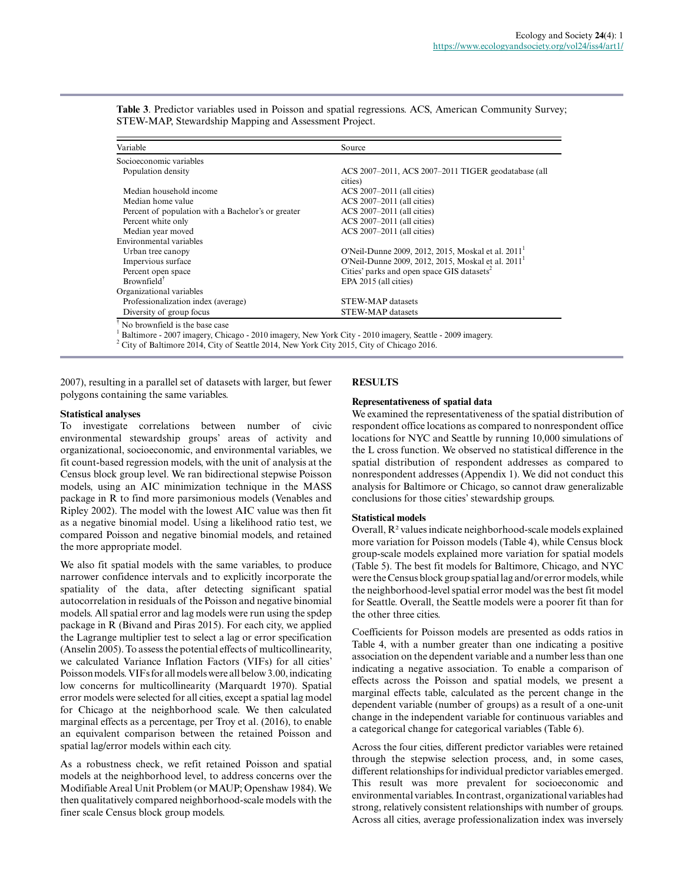| Variable                                           | Source                                                 |
|----------------------------------------------------|--------------------------------------------------------|
| Socioeconomic variables                            |                                                        |
| Population density                                 | ACS 2007-2011, ACS 2007-2011 TIGER geodatabase (all    |
|                                                    | cities)                                                |
| Median household income                            | $ACS 2007-2011$ (all cities)                           |
| Median home value                                  | ACS 2007-2011 (all cities)                             |
| Percent of population with a Bachelor's or greater | ACS 2007-2011 (all cities)                             |
| Percent white only                                 | ACS 2007-2011 (all cities)                             |
| Median year moved                                  | ACS 2007-2011 (all cities)                             |
| Environmental variables                            |                                                        |
| Urban tree canopy                                  | O'Neil-Dunne 2009, 2012, 2015, Moskal et al. 2011      |
| Impervious surface                                 | O'Neil-Dunne 2009, 2012, 2015, Moskal et al. 2011      |
| Percent open space                                 | Cities' parks and open space GIS datasets <sup>2</sup> |
| $Brownfield^{\dagger}$                             | EPA 2015 (all cities)                                  |
| Organizational variables                           |                                                        |
| Professionalization index (average)                | <b>STEW-MAP</b> datasets                               |
| Diversity of group focus                           | <b>STEW-MAP</b> datasets                               |

**Table 3**. Predictor variables used in Poisson and spatial regressions. ACS, American Community Survey; STEW-MAP, Stewardship Mapping and Assessment Project.

1

Baltimore - 2007 imagery, Chicago - 2010 imagery, New York City - 2010 imagery, Seattle - 2009 imagery.

<sup>2</sup> City of Baltimore 2014, City of Seattle 2014, New York City 2015, City of Chicago 2016.

2007), resulting in a parallel set of datasets with larger, but fewer polygons containing the same variables.

#### **Statistical analyses**

To investigate correlations between number of civic environmental stewardship groups' areas of activity and organizational, socioeconomic, and environmental variables, we fit count-based regression models, with the unit of analysis at the Census block group level. We ran bidirectional stepwise Poisson models, using an AIC minimization technique in the MASS package in R to find more parsimonious models (Venables and Ripley 2002). The model with the lowest AIC value was then fit as a negative binomial model. Using a likelihood ratio test, we compared Poisson and negative binomial models, and retained the more appropriate model.

We also fit spatial models with the same variables, to produce narrower confidence intervals and to explicitly incorporate the spatiality of the data, after detecting significant spatial autocorrelation in residuals of the Poisson and negative binomial models. All spatial error and lag models were run using the spdep package in R (Bivand and Piras 2015). For each city, we applied the Lagrange multiplier test to select a lag or error specification (Anselin 2005). To assess the potential effects of multicollinearity, we calculated Variance Inflation Factors (VIFs) for all cities' Poisson models. VIFs for all models were all below 3.00, indicating low concerns for multicollinearity (Marquardt 1970). Spatial error models were selected for all cities, except a spatial lag model for Chicago at the neighborhood scale. We then calculated marginal effects as a percentage, per Troy et al. (2016), to enable an equivalent comparison between the retained Poisson and spatial lag/error models within each city.

As a robustness check, we refit retained Poisson and spatial models at the neighborhood level, to address concerns over the Modifiable Areal Unit Problem (or MAUP; Openshaw 1984). We then qualitatively compared neighborhood-scale models with the finer scale Census block group models.

#### **RESULTS**

#### **Representativeness of spatial data**

We examined the representativeness of the spatial distribution of respondent office locations as compared to nonrespondent office locations for NYC and Seattle by running 10,000 simulations of the L cross function. We observed no statistical difference in the spatial distribution of respondent addresses as compared to nonrespondent addresses (Appendix 1). We did not conduct this analysis for Baltimore or Chicago, so cannot draw generalizable conclusions for those cities' stewardship groups.

#### **Statistical models**

Overall, R² values indicate neighborhood-scale models explained more variation for Poisson models (Table 4), while Census block group-scale models explained more variation for spatial models (Table 5). The best fit models for Baltimore, Chicago, and NYC were the Census block group spatial lag and/or error models, while the neighborhood-level spatial error model was the best fit model for Seattle. Overall, the Seattle models were a poorer fit than for the other three cities.

Coefficients for Poisson models are presented as odds ratios in Table 4, with a number greater than one indicating a positive association on the dependent variable and a number less than one indicating a negative association. To enable a comparison of effects across the Poisson and spatial models, we present a marginal effects table, calculated as the percent change in the dependent variable (number of groups) as a result of a one-unit change in the independent variable for continuous variables and a categorical change for categorical variables (Table 6).

Across the four cities, different predictor variables were retained through the stepwise selection process, and, in some cases, different relationships for individual predictor variables emerged. This result was more prevalent for socioeconomic and environmental variables. In contrast, organizational variables had strong, relatively consistent relationships with number of groups. Across all cities, average professionalization index was inversely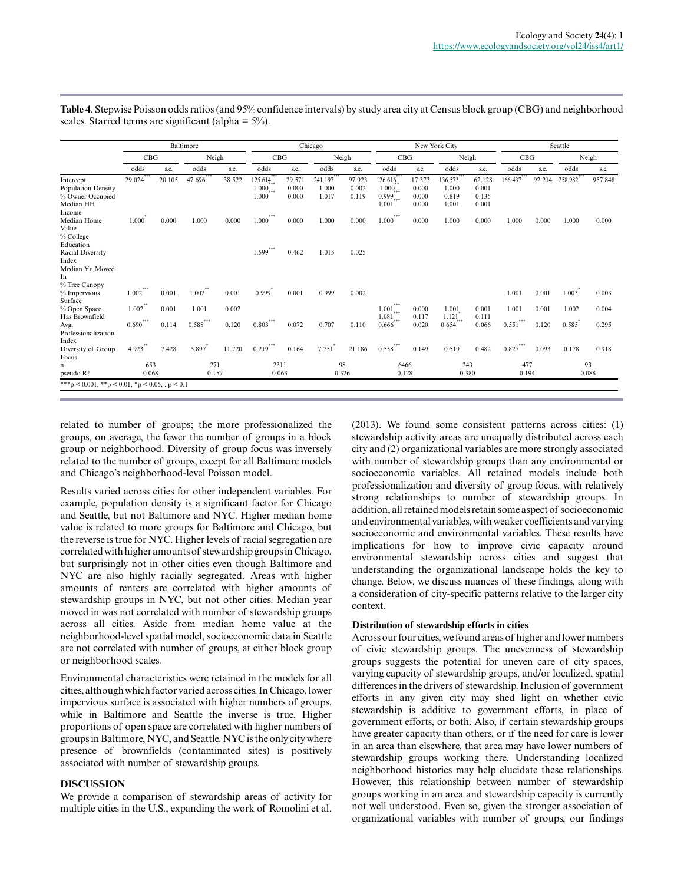|                                                                         |              |        | Baltimore      |        |                                            |                          | Chicago                   |                          |                                                             |                                   | New York City                      |                                   | Seattle      |        |         |             |
|-------------------------------------------------------------------------|--------------|--------|----------------|--------|--------------------------------------------|--------------------------|---------------------------|--------------------------|-------------------------------------------------------------|-----------------------------------|------------------------------------|-----------------------------------|--------------|--------|---------|-------------|
|                                                                         | CBG          |        | Neigh          |        | CBG                                        |                          |                           | Neigh                    | CBG                                                         |                                   | Neigh                              |                                   | CBG          |        |         | Neigh       |
|                                                                         | odds         | s.e.   | odds           | s.e.   | odds                                       | s.e.                     | odds                      | s.e.                     | odds                                                        | s.e.                              | odds                               | s.e.                              | odds         | s.e.   | odds    | s.e.        |
| Intercept<br><b>Population Density</b><br>% Owner Occupied<br>Median HH | 29.024       | 20.105 | 47.696         | 38.522 | 125.614<br>$1.000$ <sub>***</sub><br>1.000 | 29.571<br>0.000<br>0.000 | 241.197<br>1.000<br>1.017 | 97.923<br>0.002<br>0.119 | 126.616<br>$1.000_{***}$<br>$0.999$ <sub>***</sub><br>1.001 | 17.373<br>0.000<br>0.000<br>0.000 | 136.573<br>1.000<br>0.819<br>1.001 | 62.128<br>0.001<br>0.135<br>0.001 | 166.437      | 92.214 | 258.982 | 957.848     |
| Income<br>Median Home<br>Value<br>% College                             | 1.000        | 0.000  | 1.000          | 0.000  | ***<br>1.000                               | 0.000                    | 1.000                     | 0.000                    | ***<br>1.000                                                | 0.000                             | 1.000                              | 0.000                             | 1.000        | 0.000  | 1.000   | 0.000       |
| Education<br>Racial Diversity<br>Index<br>Median Yr. Moved<br>In        |              |        |                |        | ***<br>1.599                               | 0.462                    | 1.015                     | 0.025                    |                                                             |                                   |                                    |                                   |              |        |         |             |
| % Tree Canopy<br>% Impervious<br>Surface                                | ***<br>1.002 | 0.001  | $***$<br>1.002 | 0.001  | 0.999                                      | 0.001                    | 0.999                     | 0.002                    |                                                             |                                   |                                    |                                   | 1.001        | 0.001  | 1.003   | 0.003       |
| % Open Space<br>Has Brownfield                                          | **<br>1.002  | 0.001  | 1.001          | 0.002  |                                            |                          |                           |                          | ***<br>$1.001$ <sub>***</sub><br>$1.081$ <sub>***</sub>     | 0.000<br>0.117                    | 1.001<br>1.121                     | 0.001<br>0.111                    | 1.001        | 0.001  | 1.002   | 0.004       |
| Avg.<br>Professionalization                                             | ***<br>0.690 | 0.114  | $***$<br>0.588 | 0.120  | $***$<br>0.803                             | 0.072                    | 0.707                     | 0.110                    | 0.666                                                       | 0.020                             | 0.654                              | 0.066                             | ***<br>0.551 | 0.120  | 0.585   | 0.295       |
| Index<br>Diversity of Group<br>Focus                                    | 4.923        | 7.428  | 5.897          | 11.720 | ***<br>0.219                               | 0.164                    | 7.751                     | 21.186                   | ***<br>0.558                                                | 0.149                             | 0.519                              | 0.482                             | ***<br>0.827 | 0.093  | 0.178   | 0.918       |
| n<br>pseudo $\mathbb{R}^2$                                              | 653<br>0.068 |        | 271<br>0.157   |        | 2311<br>0.063                              |                          | 0.326                     | 98                       | 6466<br>0.128                                               |                                   | 243<br>0.380                       |                                   | 477<br>0.194 |        |         | 93<br>0.088 |

**Table 4**. Stepwise Poisson odds ratios (and 95% confidence intervals) by study area city at Census block group (CBG) and neighborhood scales. Starred terms are significant (alpha  $= 5\%$ ).

related to number of groups; the more professionalized the groups, on average, the fewer the number of groups in a block group or neighborhood. Diversity of group focus was inversely related to the number of groups, except for all Baltimore models and Chicago's neighborhood-level Poisson model.

Results varied across cities for other independent variables. For example, population density is a significant factor for Chicago and Seattle, but not Baltimore and NYC. Higher median home value is related to more groups for Baltimore and Chicago, but the reverse is true for NYC. Higher levels of racial segregation are correlated with higher amounts of stewardship groups in Chicago, but surprisingly not in other cities even though Baltimore and NYC are also highly racially segregated. Areas with higher amounts of renters are correlated with higher amounts of stewardship groups in NYC, but not other cities. Median year moved in was not correlated with number of stewardship groups across all cities. Aside from median home value at the neighborhood-level spatial model, socioeconomic data in Seattle are not correlated with number of groups, at either block group or neighborhood scales.

Environmental characteristics were retained in the models for all cities, although which factor varied across cities. In Chicago, lower impervious surface is associated with higher numbers of groups, while in Baltimore and Seattle the inverse is true. Higher proportions of open space are correlated with higher numbers of groups in Baltimore, NYC, and Seattle. NYC is the only city where presence of brownfields (contaminated sites) is positively associated with number of stewardship groups.

#### **DISCUSSION**

We provide a comparison of stewardship areas of activity for multiple cities in the U.S., expanding the work of Romolini et al. (2013). We found some consistent patterns across cities: (1) stewardship activity areas are unequally distributed across each city and (2) organizational variables are more strongly associated with number of stewardship groups than any environmental or socioeconomic variables. All retained models include both professionalization and diversity of group focus, with relatively strong relationships to number of stewardship groups. In addition, all retained models retain some aspect of socioeconomic and environmental variables, with weaker coefficients and varying socioeconomic and environmental variables. These results have implications for how to improve civic capacity around environmental stewardship across cities and suggest that understanding the organizational landscape holds the key to change. Below, we discuss nuances of these findings, along with a consideration of city-specific patterns relative to the larger city context.

#### **Distribution of stewardship efforts in cities**

Across our four cities, we found areas of higher and lower numbers of civic stewardship groups. The unevenness of stewardship groups suggests the potential for uneven care of city spaces, varying capacity of stewardship groups, and/or localized, spatial differences in the drivers of stewardship. Inclusion of government efforts in any given city may shed light on whether civic stewardship is additive to government efforts, in place of government efforts, or both. Also, if certain stewardship groups have greater capacity than others, or if the need for care is lower in an area than elsewhere, that area may have lower numbers of stewardship groups working there. Understanding localized neighborhood histories may help elucidate these relationships. However, this relationship between number of stewardship groups working in an area and stewardship capacity is currently not well understood. Even so, given the stronger association of organizational variables with number of groups, our findings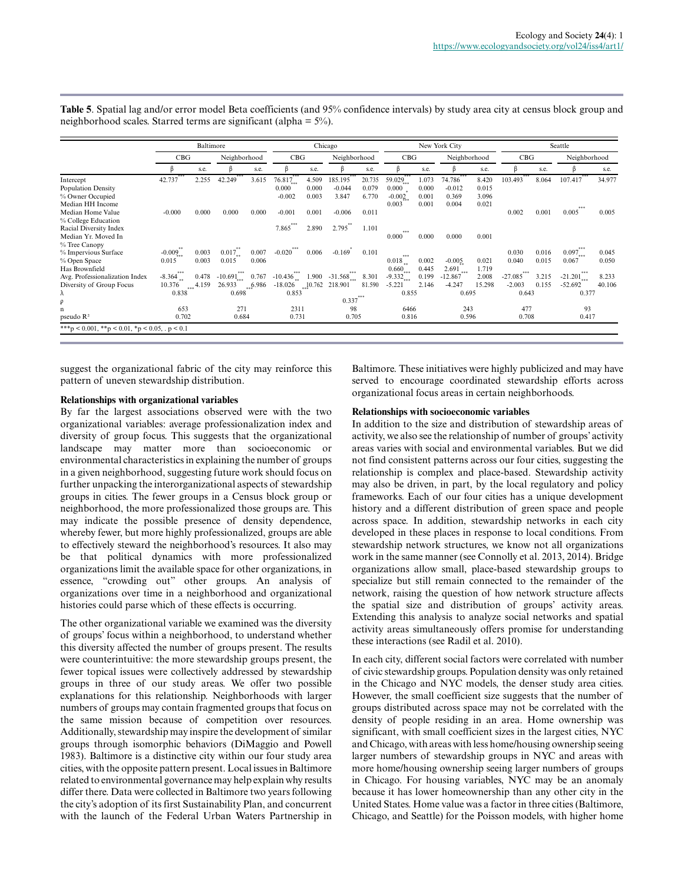|                                               |          | Baltimore |                          |        | Chicago   |        |              |        |                         |       | New York City  |        | Seattle    |       |                          |        |
|-----------------------------------------------|----------|-----------|--------------------------|--------|-----------|--------|--------------|--------|-------------------------|-------|----------------|--------|------------|-------|--------------------------|--------|
|                                               | CBG      |           | Neighborhood             |        | CBG       |        | Neighborhood |        | CBG                     |       | Neighborhood   |        | CBG        |       | Neighborhood             |        |
|                                               |          | s.e.      |                          | s.e.   | ß         | s.e.   |              | s.e.   |                         | s.e.  | ß              | s.e.   |            | s.e.  |                          | s.e.   |
| Intercept                                     | 42.737   | 2.255     | 42.249                   | 3.615  | 76.817    | 4.509  | 185.195      | 20.735 | 59.029                  | 1.073 | 74.786         | 8.420  | 103.493    | 8.064 | 107.417                  | 34.977 |
| <b>Population Density</b>                     |          |           |                          |        | 0.000     | 0.000  | $-0.044$     | 0.079  | 0.000                   | 0.000 | $-0.012$       | 0.015  |            |       |                          |        |
| % Owner Occupied                              |          |           |                          |        | $-0.002$  | 0.003  | 3.847        | 6.770  | $-0.002$                | 0.001 | 0.369          | 3.096  |            |       |                          |        |
| Median HH Income                              |          |           |                          |        |           |        |              |        | 0.003                   | 0.001 | 0.004          | 0.021  |            |       |                          |        |
| Median Home Value                             | $-0.000$ | 0.000     | 0.000                    | 0.000  | $-0.001$  | 0.001  | $-0.006$     | 0.011  |                         |       |                |        | 0.002      | 0.001 | ***<br>0.005             | 0.005  |
| % College Education                           |          |           |                          |        | ***       |        |              |        |                         |       |                |        |            |       |                          |        |
| Racial Diversity Index                        |          |           |                          |        | 7.865     | 2.890  | 2.795        | 1.101  |                         |       |                |        |            |       |                          |        |
| Median Yr. Moved In                           |          |           |                          |        |           |        |              |        | ***<br>0.000            | 0.000 | 0.000          | 0.001  |            |       |                          |        |
| % Tree Canopy                                 |          |           |                          |        | ***       |        |              |        |                         |       |                |        |            |       | ***                      |        |
| % Impervious Surface                          | $-0.009$ | 0.003     | $0.017_{**}$             | 0.007  | $-0.020$  | 0.006  | $-0.169$     | 0.101  | ***                     |       |                |        | 0.030      | 0.016 | $0.097$ <sub>***</sub>   | 0.045  |
| % Open Space                                  | 0.015    | 0.003     | 0.015                    | 0.006  |           |        |              |        | $0.018_{**}$            | 0.002 | $-0.005$       | 0.021  | 0.040      | 0.015 | 0.067                    | 0.050  |
| Has Brownfield                                | ***      |           |                          |        | ***       |        | ***          |        | 0.660                   | 0.445 | 2.691<br>$***$ | 1.719  | <b>***</b> |       | ***                      |        |
| Avg. Professionalization Index                | $-8.364$ | 0.478     | $-10.691$ <sub>***</sub> | 0.767  | $-10.436$ | 1.900  | $-31.568$    | 8.301  | $-9.332$ <sub>***</sub> | 0.199 | $-12.867$      | 2.008  | $-27.085$  | 3.215 | $-21.201$ <sub>***</sub> | 8.233  |
| Diversity of Group Focus                      | 10.376   | 4.159     | 26.933                   | ,6.986 | $-18.026$ | 10.762 | 218.901      | 81.590 | $-5.221$                | 2.146 | $-4.247$       | 15.298 | $-2.003$   | 0.155 | $-52.692$                | 40.106 |
| λ                                             | 0.838    |           | 0.698                    |        | 0.853     |        |              | ***    | 0.855                   |       | 0.695          |        | 0.643      |       | 0.377                    |        |
| ρ                                             |          |           |                          |        |           |        | 0.337        |        |                         |       |                |        |            |       |                          |        |
| n                                             | 653      |           | 271                      |        | 2311      |        | 98           |        | 6466                    |       | 243            |        | 477        |       | 93                       |        |
| pseudo $\mathbb{R}^2$                         | 0.702    |           | 0.684                    |        | 0.731     |        | 0.705        |        | 0.816                   |       | 0.596          |        | 0.708      |       | 0.417                    |        |
| ***p < 0.001, **p < 0.01, *p < 0.05, .p < 0.1 |          |           |                          |        |           |        |              |        |                         |       |                |        |            |       |                          |        |
|                                               |          |           |                          |        |           |        |              |        |                         |       |                |        |            |       |                          |        |

**Table 5**. Spatial lag and/or error model Beta coefficients (and 95% confidence intervals) by study area city at census block group and neighborhood scales. Starred terms are significant (alpha = 5%).

suggest the organizational fabric of the city may reinforce this pattern of uneven stewardship distribution.

#### **Relationships with organizational variables**

By far the largest associations observed were with the two organizational variables: average professionalization index and diversity of group focus. This suggests that the organizational landscape may matter more than socioeconomic or environmental characteristics in explaining the number of groups in a given neighborhood, suggesting future work should focus on further unpacking the interorganizational aspects of stewardship groups in cities. The fewer groups in a Census block group or neighborhood, the more professionalized those groups are. This may indicate the possible presence of density dependence, whereby fewer, but more highly professionalized, groups are able to effectively steward the neighborhood's resources. It also may be that political dynamics with more professionalized organizations limit the available space for other organizations, in essence, "crowding out" other groups. An analysis of organizations over time in a neighborhood and organizational histories could parse which of these effects is occurring.

The other organizational variable we examined was the diversity of groups' focus within a neighborhood, to understand whether this diversity affected the number of groups present. The results were counterintuitive: the more stewardship groups present, the fewer topical issues were collectively addressed by stewardship groups in three of our study areas. We offer two possible explanations for this relationship. Neighborhoods with larger numbers of groups may contain fragmented groups that focus on the same mission because of competition over resources. Additionally, stewardship may inspire the development of similar groups through isomorphic behaviors (DiMaggio and Powell 1983). Baltimore is a distinctive city within our four study area cities, with the opposite pattern present. Local issues in Baltimore related to environmental governance may help explain why results differ there. Data were collected in Baltimore two years following the city's adoption of its first Sustainability Plan, and concurrent with the launch of the Federal Urban Waters Partnership in

Baltimore. These initiatives were highly publicized and may have served to encourage coordinated stewardship efforts across organizational focus areas in certain neighborhoods.

#### **Relationships with socioeconomic variables**

In addition to the size and distribution of stewardship areas of activity, we also see the relationship of number of groups' activity areas varies with social and environmental variables. But we did not find consistent patterns across our four cities, suggesting the relationship is complex and place-based. Stewardship activity may also be driven, in part, by the local regulatory and policy frameworks. Each of our four cities has a unique development history and a different distribution of green space and people across space. In addition, stewardship networks in each city developed in these places in response to local conditions. From stewardship network structures, we know not all organizations work in the same manner (see Connolly et al. 2013, 2014). Bridge organizations allow small, place-based stewardship groups to specialize but still remain connected to the remainder of the network, raising the question of how network structure affects the spatial size and distribution of groups' activity areas. Extending this analysis to analyze social networks and spatial activity areas simultaneously offers promise for understanding these interactions (see Radil et al. 2010).

In each city, different social factors were correlated with number of civic stewardship groups. Population density was only retained in the Chicago and NYC models, the denser study area cities. However, the small coefficient size suggests that the number of groups distributed across space may not be correlated with the density of people residing in an area. Home ownership was significant, with small coefficient sizes in the largest cities, NYC and Chicago, with areas with less home/housing ownership seeing larger numbers of stewardship groups in NYC and areas with more home/housing ownership seeing larger numbers of groups in Chicago. For housing variables, NYC may be an anomaly because it has lower homeownership than any other city in the United States. Home value was a factor in three cities (Baltimore, Chicago, and Seattle) for the Poisson models, with higher home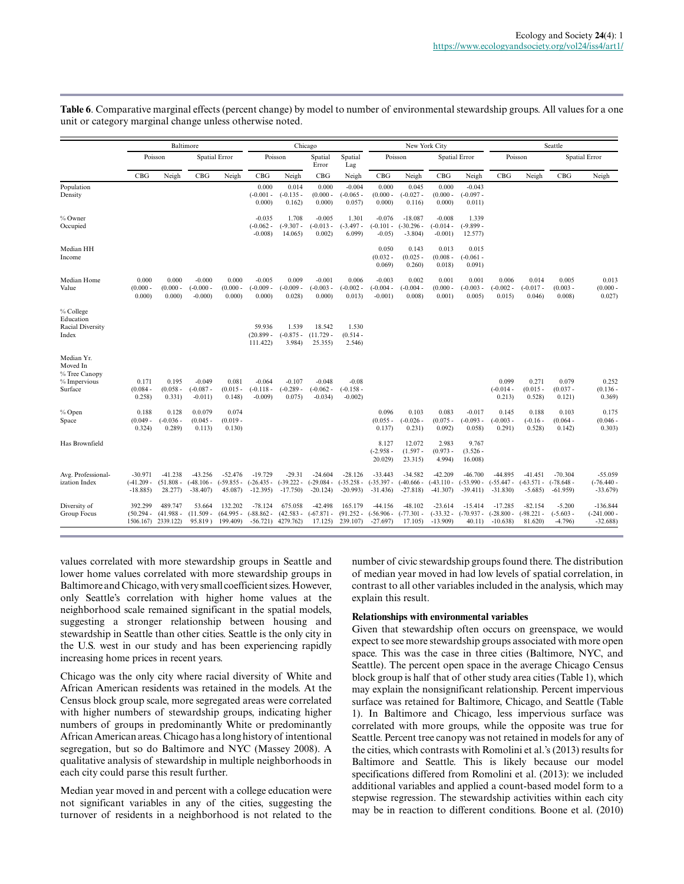|                                                     |                                      |                                     | Baltimore                              |                                      |                                        | Chicago                                          |                                        |                                        |                                        |                                         | New York City                          |                                              | Seattle                                |                                       |                                        |                                          |
|-----------------------------------------------------|--------------------------------------|-------------------------------------|----------------------------------------|--------------------------------------|----------------------------------------|--------------------------------------------------|----------------------------------------|----------------------------------------|----------------------------------------|-----------------------------------------|----------------------------------------|----------------------------------------------|----------------------------------------|---------------------------------------|----------------------------------------|------------------------------------------|
|                                                     |                                      | Poisson                             |                                        | <b>Spatial Error</b>                 |                                        | Poisson                                          | Spatial<br>Error                       | Spatial<br>Lag                         |                                        | Poisson                                 |                                        | <b>Spatial Error</b>                         |                                        | Poisson                               |                                        | <b>Spatial Error</b>                     |
|                                                     | CBG                                  | Neigh                               | CBG                                    | Neigh                                | CBG                                    | Neigh                                            | CBG                                    | Neigh                                  | CBG                                    | Neigh                                   | CBG                                    | Neigh                                        | CBG                                    | Neigh                                 | CBG                                    | Neigh                                    |
| Population<br>Density                               |                                      |                                     |                                        |                                      | 0.000<br>$(-0.001 -$<br>0.000          | 0.014<br>$(-0.135 -$<br>0.162                    | 0.000<br>$(0.000 -$<br>0.000           | $-0.004$<br>$(-0.065 -$<br>0.057       | 0.000<br>$(0.000 -$<br>0.000)          | 0.045<br>$(-0.027 -$<br>0.116           | 0.000<br>$(0.000 -$<br>0.000           | $-0.043$<br>$(-0.097 -$<br>0.011)            |                                        |                                       |                                        |                                          |
| % Owner<br>Occupied                                 |                                      |                                     |                                        |                                      | $-0.035$<br>$(-0.062 -$<br>$-0.008$    | 1.708<br>$(-9.307 -$<br>14.065                   | $-0.005$<br>$(-0.013 -$<br>0.002       | 1.301<br>$(-3.497 -$<br>6.099          | $-0.076$<br>$(-0.101 -$<br>$-0.05$     | $-18.087$<br>$(-30.296 -$<br>$-3.804$ ) | $-0.008$<br>$(-0.014 -$<br>$-0.001$ )  | 1.339<br>$(-9.899 -$<br>12.577)              |                                        |                                       |                                        |                                          |
| Median HH<br>Income                                 |                                      |                                     |                                        |                                      |                                        |                                                  |                                        |                                        | 0.050<br>$(0.032 -$<br>0.069           | 0.143<br>$(0.025 -$<br>0.260)           | 0.013<br>$(0.008 -$<br>0.018           | 0.015<br>$(-0.061 -$<br>0.091)               |                                        |                                       |                                        |                                          |
| Median Home<br>Value                                | 0.000<br>$(0.000 -$<br>0.000)        | 0.000<br>$(0.000 -$<br>0.000)       | $-0.000$<br>$(-0.000 -$<br>$-0.000$    | 0.000<br>$(0.000 -$<br>0.000)        | $-0.005$<br>$(-0.009 -$<br>0.000)      | 0.009<br>$(-0.009 -$<br>0.028                    | $-0.001$<br>$(-0.003 -$<br>0.000       | 0.006<br>$(-0.002 -$<br>0.013)         | $-0.003$<br>$(-0.004 -$<br>$-0.001$ )  | 0.002<br>$(-0.004 -$<br>0.008           | 0.001<br>$(0.000 -$<br>0.001)          | 0.001<br>$(-0.003 -$<br>0.005                | 0.006<br>$(-0.002 -$<br>0.015          | 0.014<br>$(-0.017 -$<br>0.046         | 0.005<br>$(0.003 -$<br>0.008           | 0.013<br>$(0.000 -$<br>0.027             |
| % College<br>Education<br>Racial Diversity<br>Index |                                      |                                     |                                        |                                      | 59.936<br>$(20.899 -$<br>111.422)      | 1.539<br>$(-0.875 -$<br>3.984)                   | 18.542<br>$(11.729 -$<br>25.355)       | 1.530<br>$(0.514 -$<br>2.546           |                                        |                                         |                                        |                                              |                                        |                                       |                                        |                                          |
| Median Yr.<br>Moved In<br>% Tree Canopy             |                                      |                                     |                                        |                                      |                                        |                                                  |                                        |                                        |                                        |                                         |                                        |                                              |                                        |                                       |                                        |                                          |
| % Impervious<br>Surface                             | 0.171<br>$(0.084 -$<br>0.258         | 0.195<br>$(0.058 -$<br>0.331)       | $-0.049$<br>$(-0.087 -$<br>$-0.011$    | 0.081<br>$(0.015 -$<br>0.148         | $-0.064$<br>$(-0.118 -$<br>$-0.009$    | $-0.107$<br>$(-0.289 -$<br>0.075                 | $-0.048$<br>$(-0.062 -$<br>$-0.034$ )  | $-0.08$<br>$(-0.158 -$<br>$-0.002$     |                                        |                                         |                                        |                                              | 0.099<br>$(-0.014 -$<br>0.213)         | 0.271<br>$(0.015 -$<br>0.528          | 0.079<br>$(0.037 -$<br>0.121)          | 0.252<br>$(0.136 -$<br>0.369)            |
| % Open<br>Space                                     | 0.188<br>$(0.049 -$<br>0.324)        | 0.128<br>$(-0.036 -$<br>0.289       | 0.0.079<br>$(0.045 -$<br>0.113)        | 0.074<br>$(0.019 -$<br>0.130)        |                                        |                                                  |                                        |                                        | 0.096<br>$(0.055 -$<br>0.137)          | 0.103<br>$(-0.026 -$<br>0.231)          | 0.083<br>$(0.075 -$<br>0.092)          | $-0.017$<br>$(-0.093 -$<br>0.058             | 0.145<br>$(-0.003 -$<br>0.291)         | 0.188<br>$(-0.16 -$<br>0.528          | 0.103<br>$(0.064 -$<br>0.142)          | 0.175<br>$(0.046 -$<br>0.303)            |
| Has Brownfield                                      |                                      |                                     |                                        |                                      |                                        |                                                  |                                        |                                        | 8.127<br>$(-2.958 -$<br>20.029)        | 12.072<br>$(1.597 -$<br>23.315          | 2.983<br>$(0.973 -$<br>4.994)          | 9.767<br>$(3.526 -$<br>16.008)               |                                        |                                       |                                        |                                          |
| Avg. Professional-<br>ization Index                 | $-30.971$<br>(-41.209 -<br>$-18.885$ | $-41.238$<br>$(51.808 -$<br>28.277  | $-43.256$<br>$(-48.106 -$<br>$-38.407$ | $-52.476$<br>$(-59.855 -$<br>45.087) | $-19.729$<br>$(-26.435 -$<br>$-12.395$ | $-29.31$<br>$(-39.222 -$<br>$-17.750$            | $-24.604$<br>$(-29.084 -$<br>$-20.124$ | $-28.126$<br>$(-35.258 -$<br>$-20.993$ | $-33.443$<br>$(-35.397 -$<br>$-31.436$ | $-34.582$<br>$(-40.666 -$<br>$-27.818$  | $-42.209$<br>$(-43.110 -$<br>$-41.307$ | $-46.700$<br>$(-53.990 -$<br>$-39.411$       | $-44.895$<br>$(-55.447 -$<br>$-31.830$ | $-41.451$<br>$(-63.571 -$<br>$-5.685$ | $-70.304$<br>$(-78.648 -$<br>$-61.959$ | $-55.059$<br>$(-76.440 -$<br>$-33.679$   |
| Diversity of<br>Group Focus                         | 392.299<br>$(50.294 -$<br>1506.167)  | 489.747<br>$(41.988 -$<br>2339.122) | 53.664<br>$(11.509 -$<br>$95.819$ )    | 132.202<br>$(64.995 -$<br>199.409)   | $-78.124$<br>$(-88.862 -$              | 675.058<br>$(42.583 -$<br>$-56.721$ ) $4279.762$ | $-42.498$<br>$(-67.871 -$<br>17.125)   | 165.179<br>$(91.252 -$<br>239.107)     | $-44.156$<br>$(-56.906 -$<br>$-27.697$ | $-48.102$<br>$(-77.301 -$<br>17.105)    | $-23.614$<br>$-13.909$                 | $-15.414$<br>$(-33.32 - (-70.937 -$<br>40.11 | $-17.285$<br>$(-28.800 -$<br>$-10.638$ | $-82.154$<br>$(-98.221 -$<br>81.620)  | $-5.200$<br>$(-5.603 -$<br>$-4.796$    | $-136.844$<br>$(-241.000 -$<br>$-32.688$ |

**Table 6**. Comparative marginal effects (percent change) by model to number of environmental stewardship groups. All values for a one unit or category marginal change unless otherwise noted.

values correlated with more stewardship groups in Seattle and lower home values correlated with more stewardship groups in Baltimore and Chicago, with very small coefficient sizes. However, only Seattle's correlation with higher home values at the neighborhood scale remained significant in the spatial models, suggesting a stronger relationship between housing and stewardship in Seattle than other cities. Seattle is the only city in the U.S. west in our study and has been experiencing rapidly increasing home prices in recent years.

Chicago was the only city where racial diversity of White and African American residents was retained in the models. At the Census block group scale, more segregated areas were correlated with higher numbers of stewardship groups, indicating higher numbers of groups in predominantly White or predominantly African American areas. Chicago has a long history of intentional segregation, but so do Baltimore and NYC (Massey 2008). A qualitative analysis of stewardship in multiple neighborhoods in each city could parse this result further.

Median year moved in and percent with a college education were not significant variables in any of the cities, suggesting the turnover of residents in a neighborhood is not related to the number of civic stewardship groups found there. The distribution of median year moved in had low levels of spatial correlation, in contrast to all other variables included in the analysis, which may explain this result.

#### **Relationships with environmental variables**

Given that stewardship often occurs on greenspace, we would expect to see more stewardship groups associated with more open space. This was the case in three cities (Baltimore, NYC, and Seattle). The percent open space in the average Chicago Census block group is half that of other study area cities (Table 1), which may explain the nonsignificant relationship. Percent impervious surface was retained for Baltimore, Chicago, and Seattle (Table 1). In Baltimore and Chicago, less impervious surface was correlated with more groups, while the opposite was true for Seattle. Percent tree canopy was not retained in models for any of the cities, which contrasts with Romolini et al.'s (2013) results for Baltimore and Seattle. This is likely because our model specifications differed from Romolini et al. (2013): we included additional variables and applied a count-based model form to a stepwise regression. The stewardship activities within each city may be in reaction to different conditions. Boone et al. (2010)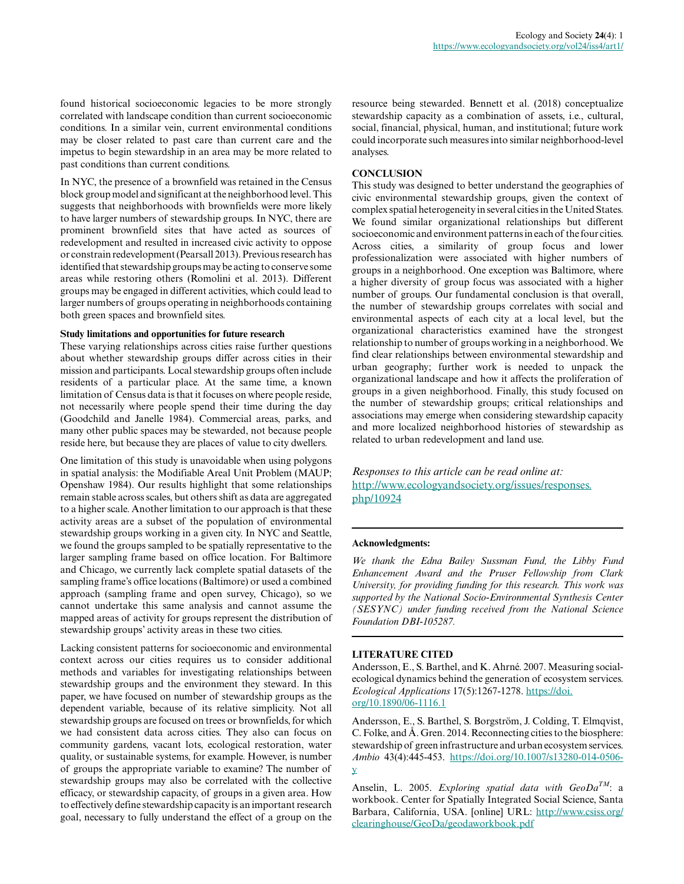found historical socioeconomic legacies to be more strongly correlated with landscape condition than current socioeconomic conditions. In a similar vein, current environmental conditions may be closer related to past care than current care and the impetus to begin stewardship in an area may be more related to past conditions than current conditions.

In NYC, the presence of a brownfield was retained in the Census block group model and significant at the neighborhood level. This suggests that neighborhoods with brownfields were more likely to have larger numbers of stewardship groups. In NYC, there are prominent brownfield sites that have acted as sources of redevelopment and resulted in increased civic activity to oppose or constrain redevelopment (Pearsall 2013). Previous research has identified that stewardship groups may be acting to conserve some areas while restoring others (Romolini et al. 2013). Different groups may be engaged in different activities, which could lead to larger numbers of groups operating in neighborhoods containing both green spaces and brownfield sites.

#### **Study limitations and opportunities for future research**

These varying relationships across cities raise further questions about whether stewardship groups differ across cities in their mission and participants. Local stewardship groups often include residents of a particular place. At the same time, a known limitation of Census data is that it focuses on where people reside, not necessarily where people spend their time during the day (Goodchild and Janelle 1984). Commercial areas, parks, and many other public spaces may be stewarded, not because people reside here, but because they are places of value to city dwellers.

One limitation of this study is unavoidable when using polygons in spatial analysis: the Modifiable Areal Unit Problem (MAUP; Openshaw 1984). Our results highlight that some relationships remain stable across scales, but others shift as data are aggregated to a higher scale. Another limitation to our approach is that these activity areas are a subset of the population of environmental stewardship groups working in a given city. In NYC and Seattle, we found the groups sampled to be spatially representative to the larger sampling frame based on office location. For Baltimore and Chicago, we currently lack complete spatial datasets of the sampling frame's office locations (Baltimore) or used a combined approach (sampling frame and open survey, Chicago), so we cannot undertake this same analysis and cannot assume the mapped areas of activity for groups represent the distribution of stewardship groups' activity areas in these two cities.

Lacking consistent patterns for socioeconomic and environmental context across our cities requires us to consider additional methods and variables for investigating relationships between stewardship groups and the environment they steward. In this paper, we have focused on number of stewardship groups as the dependent variable, because of its relative simplicity. Not all stewardship groups are focused on trees or brownfields, for which we had consistent data across cities. They also can focus on community gardens, vacant lots, ecological restoration, water quality, or sustainable systems, for example. However, is number of groups the appropriate variable to examine? The number of stewardship groups may also be correlated with the collective efficacy, or stewardship capacity, of groups in a given area. How to effectively define stewardship capacity is an important research goal, necessary to fully understand the effect of a group on the

resource being stewarded. Bennett et al. (2018) conceptualize stewardship capacity as a combination of assets, i.e., cultural, social, financial, physical, human, and institutional; future work could incorporate such measures into similar neighborhood-level analyses.

#### **CONCLUSION**

This study was designed to better understand the geographies of civic environmental stewardship groups, given the context of complex spatial heterogeneity in several cities in the United States. We found similar organizational relationships but different socioeconomic and environment patterns in each of the four cities. Across cities, a similarity of group focus and lower professionalization were associated with higher numbers of groups in a neighborhood. One exception was Baltimore, where a higher diversity of group focus was associated with a higher number of groups. Our fundamental conclusion is that overall, the number of stewardship groups correlates with social and environmental aspects of each city at a local level, but the organizational characteristics examined have the strongest relationship to number of groups working in a neighborhood. We find clear relationships between environmental stewardship and urban geography; further work is needed to unpack the organizational landscape and how it affects the proliferation of groups in a given neighborhood. Finally, this study focused on the number of stewardship groups; critical relationships and associations may emerge when considering stewardship capacity and more localized neighborhood histories of stewardship as related to urban redevelopment and land use.

*Responses to this article can be read online at:* [http://www.ecologyandsociety.org/issues/responses.](http://www.ecologyandsociety.org/issues/responses.php/10924) [php/10924](http://www.ecologyandsociety.org/issues/responses.php/10924)

#### **Acknowledgments:**

*We thank the Edna Bailey Sussman Fund, the Libby Fund Enhancement Award and the Pruser Fellowship from Clark University, for providing funding for this research. This work was supported by the National Socio-Environmental Synthesis Center (SESYNC) under funding received from the National Science Foundation DBI-105287.*

#### **LITERATURE CITED**

Andersson, E., S. Barthel, and K. Ahrné. 2007. Measuring socialecological dynamics behind the generation of ecosystem services. *Ecological Applications* 17(5):1267-1278. [https://doi.](https://doi.org/10.1890/06-1116.1) [org/10.1890/06-1116.1](https://doi.org/10.1890/06-1116.1)

Andersson, E., S. Barthel, S. Borgström, J. Colding, T. Elmqvist, C. Folke, and Å. Gren. 2014. Reconnecting cities to the biosphere: stewardship of green infrastructure and urban ecosystem services. *Ambio* 43(4):445-453. [https://doi.org/10.1007/s13280-014-0506](https://doi.org/10.1007/s13280-014-0506-y) [y](https://doi.org/10.1007/s13280-014-0506-y) 

Anselin, L. 2005. *Exploring spatial data with GeoDaTM*: a workbook. Center for Spatially Integrated Social Science, Santa Barbara, California, USA. [online] URL: [http://www.csiss.org/](http://www.csiss.org/clearinghouse/GeoDa/geodaworkbook.pdf) [clearinghouse/GeoDa/geodaworkbook.pdf](http://www.csiss.org/clearinghouse/GeoDa/geodaworkbook.pdf)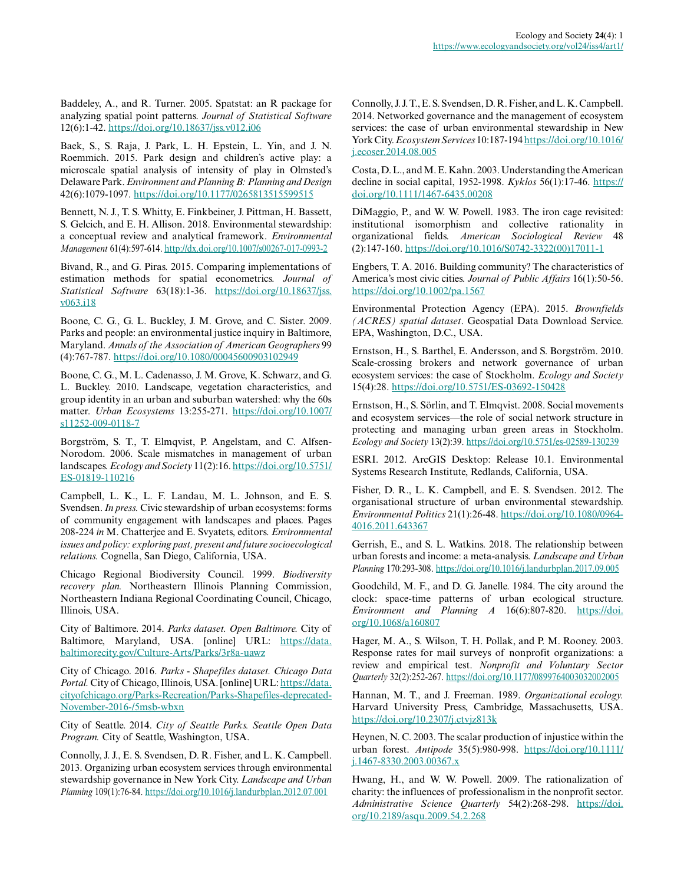Baddeley, A., and R. Turner. 2005. Spatstat: an R package for analyzing spatial point patterns. *Journal of Statistical Software* 12(6):1-42.<https://doi.org/10.18637/jss.v012.i06>

Baek, S., S. Raja, J. Park, L. H. Epstein, L. Yin, and J. N. Roemmich. 2015. Park design and children's active play: a microscale spatial analysis of intensity of play in Olmsted's Delaware Park. *Environment and Planning B: Planning and Design* 42(6):1079-1097. <https://doi.org/10.1177/0265813515599515>

Bennett, N. J., T. S. Whitty, E. Finkbeiner, J. Pittman, H. Bassett, S. Gelcich, and E. H. Allison. 2018. Environmental stewardship: a conceptual review and analytical framework. *Environmental Management* 61(4):597-614.<http://dx.doi.org/10.1007/s00267-017-0993-2>

Bivand, R., and G. Piras. 2015. Comparing implementations of estimation methods for spatial econometrics. *Journal of Statistical Software* 63(18):1-36. [https://doi.org/10.18637/jss.](https://doi.org/10.18637/jss.v063.i18) [v063.i18](https://doi.org/10.18637/jss.v063.i18) 

Boone, C. G., G. L. Buckley, J. M. Grove, and C. Sister. 2009. Parks and people: an environmental justice inquiry in Baltimore, Maryland. *Annals of the Association of American Geographers* 99 (4):767-787. <https://doi.org/10.1080/00045600903102949>

Boone, C. G., M. L. Cadenasso, J. M. Grove, K. Schwarz, and G. L. Buckley. 2010. Landscape, vegetation characteristics, and group identity in an urban and suburban watershed: why the 60s matter. *Urban Ecosystems* 13:255-271. [https://doi.org/10.1007/](https://doi.org/10.1007/s11252-009-0118-7) [s11252-009-0118-7](https://doi.org/10.1007/s11252-009-0118-7) 

Borgström, S. T., T. Elmqvist, P. Angelstam, and C. Alfsen-Norodom. 2006. Scale mismatches in management of urban landscapes. *Ecology and Society* 11(2):16. [https://doi.org/10.5751/](https://doi.org/10.5751/ES-01819-110216) [ES-01819-110216](https://doi.org/10.5751/ES-01819-110216)

Campbell, L. K., L. F. Landau, M. L. Johnson, and E. S. Svendsen. *In press.* Civic stewardship of urban ecosystems: forms of community engagement with landscapes and places. Pages 208-224 *in* M. Chatterjee and E. Svyatets, editors. *Environmental issues and policy: exploring past, present and future socioecological relations.* Cognella, San Diego, California, USA.

Chicago Regional Biodiversity Council. 1999. *Biodiversity recovery plan.* Northeastern Illinois Planning Commission, Northeastern Indiana Regional Coordinating Council, Chicago, Illinois, USA.

City of Baltimore. 2014. *Parks dataset. Open Baltimore.* City of Baltimore, Maryland, USA. [online] URL: [https://data.](https://data.baltimorecity.gov/Culture-Arts/Parks/3r8a-uawz) [baltimorecity.gov/Culture-Arts/Parks/3r8a-uawz](https://data.baltimorecity.gov/Culture-Arts/Parks/3r8a-uawz)

City of Chicago. 2016. *Parks - Shapefiles dataset. Chicago Data Portal.* City of Chicago, Illinois, USA. [online] URL: [https://data.](https://data.cityofchicago.org/Parks-Recreation/Parks-Shapefiles-deprecated-November-2016-/5msb-wbxn) [cityofchicago.org/Parks-Recreation/Parks-Shapefiles-deprecated-](https://data.cityofchicago.org/Parks-Recreation/Parks-Shapefiles-deprecated-November-2016-/5msb-wbxn)[November-2016-/5msb-wbxn](https://data.cityofchicago.org/Parks-Recreation/Parks-Shapefiles-deprecated-November-2016-/5msb-wbxn) 

City of Seattle. 2014. *City of Seattle Parks. Seattle Open Data Program.* City of Seattle, Washington, USA.

Connolly, J. J., E. S. Svendsen, D. R. Fisher, and L. K. Campbell. 2013. Organizing urban ecosystem services through environmental stewardship governance in New York City. *Landscape and Urban Planning* 109(1):76-84. <https://doi.org/10.1016/j.landurbplan.2012.07.001>

Connolly, J. J. T., E. S. Svendsen, D. R. Fisher, and L. K. Campbell. 2014. Networked governance and the management of ecosystem services: the case of urban environmental stewardship in New York City. *Ecosystem Services* 10:187-194 [https://doi.org/10.1016/](https://doi.org/10.1016/j.ecoser.2014.08.005) [j.ecoser.2014.08.005](https://doi.org/10.1016/j.ecoser.2014.08.005) 

Costa, D. L., and M. E. Kahn. 2003. Understanding the American decline in social capital, 1952-1998. *Kyklos* 56(1):17-46. [https://](https://doi.org/10.1111/1467-6435.00208) [doi.org/10.1111/1467-6435.00208](https://doi.org/10.1111/1467-6435.00208) 

DiMaggio, P., and W. W. Powell. 1983. The iron cage revisited: institutional isomorphism and collective rationality in organizational fields. *American Sociological Review* 48 (2):147-160. [https://doi.org/10.1016/S0742-3322\(00\)17011-1](https://doi.org/10.1016/S0742-3322(00)17011-1)

Engbers, T. A. 2016. Building community? The characteristics of America's most civic cities. *Journal of Public Affairs* 16(1):50-56. <https://doi.org/10.1002/pa.1567>

Environmental Protection Agency (EPA). 2015. *Brownfields (ACRES) spatial dataset*. Geospatial Data Download Service. EPA, Washington, D.C., USA.

Ernstson, H., S. Barthel, E. Andersson, and S. Borgström. 2010. Scale-crossing brokers and network governance of urban ecosystem services: the case of Stockholm. *Ecology and Society* 15(4):28. <https://doi.org/10.5751/ES-03692-150428>

Ernstson, H., S. Sörlin, and T. Elmqvist. 2008. Social movements and ecosystem services—the role of social network structure in protecting and managing urban green areas in Stockholm. *Ecology and Society* 13(2):39.<https://doi.org/10.5751/es-02589-130239>

ESRI. 2012. ArcGIS Desktop: Release 10.1. Environmental Systems Research Institute, Redlands, California, USA.

Fisher, D. R., L. K. Campbell, and E. S. Svendsen. 2012. The organisational structure of urban environmental stewardship. *Environmental Politics* 21(1):26-48. [https://doi.org/10.1080/0964](https://doi.org/10.1080/09644016.2011.643367) [4016.2011.643367](https://doi.org/10.1080/09644016.2011.643367) 

Gerrish, E., and S. L. Watkins. 2018. The relationship between urban forests and income: a meta-analysis. *Landscape and Urban Planning* 170:293-308. <https://doi.org/10.1016/j.landurbplan.2017.09.005>

Goodchild, M. F., and D. G. Janelle. 1984. The city around the clock: space-time patterns of urban ecological structure. *Environment and Planning A* 16(6):807-820. [https://doi.](https://doi.org/10.1068/a160807) [org/10.1068/a160807](https://doi.org/10.1068/a160807) 

Hager, M. A., S. Wilson, T. H. Pollak, and P. M. Rooney. 2003. Response rates for mail surveys of nonprofit organizations: a review and empirical test. *Nonprofit and Voluntary Sector Quarterly* 32(2):252-267.<https://doi.org/10.1177/0899764003032002005>

Hannan, M. T., and J. Freeman. 1989. *Organizational ecology.* Harvard University Press, Cambridge, Massachusetts, USA. <https://doi.org/10.2307/j.ctvjz813k>

Heynen, N. C. 2003. The scalar production of injustice within the urban forest. *Antipode* 35(5):980-998. [https://doi.org/10.1111/](https://doi.org/10.1111/j.1467-8330.2003.00367.x) [j.1467-8330.2003.00367.x](https://doi.org/10.1111/j.1467-8330.2003.00367.x)

Hwang, H., and W. W. Powell. 2009. The rationalization of charity: the influences of professionalism in the nonprofit sector. *Administrative Science Quarterly* 54(2):268-298. [https://doi.](https://doi.org/10.2189/asqu.2009.54.2.268) [org/10.2189/asqu.2009.54.2.268](https://doi.org/10.2189/asqu.2009.54.2.268)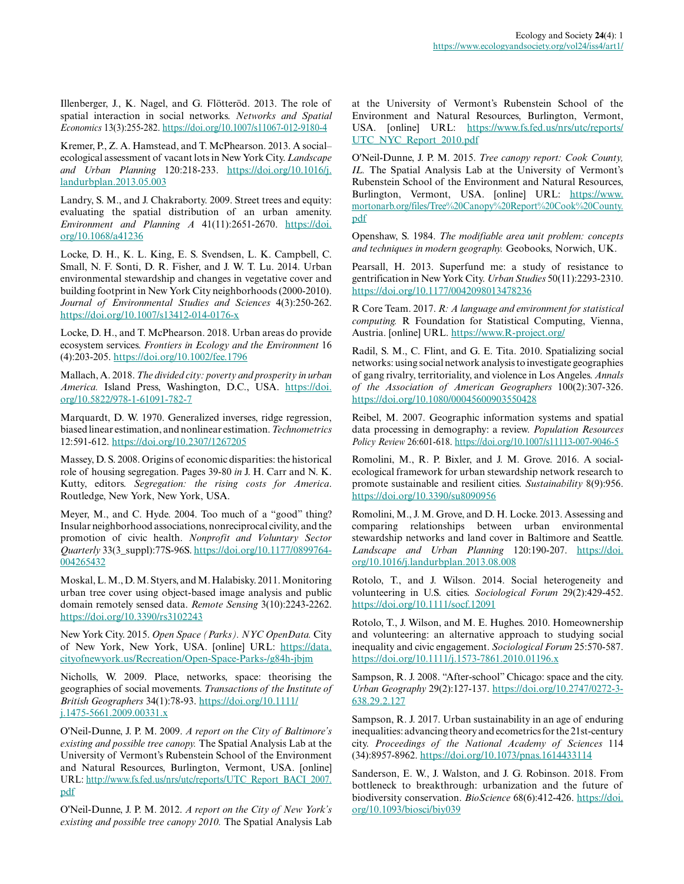Illenberger, J., K. Nagel, and G. Flötteröd. 2013. The role of spatial interaction in social networks. *Networks and Spatial Economics* 13(3):255-282.<https://doi.org/10.1007/s11067-012-9180-4>

Kremer, P., Z. A. Hamstead, and T. McPhearson. 2013. A social– ecological assessment of vacant lots in New York City. *Landscape and Urban Planning* 120:218-233. [https://doi.org/10.1016/j.](https://doi.org/10.1016/j.landurbplan.2013.05.003) [landurbplan.2013.05.003](https://doi.org/10.1016/j.landurbplan.2013.05.003) 

Landry, S. M., and J. Chakraborty. 2009. Street trees and equity: evaluating the spatial distribution of an urban amenity. *Environment and Planning A* 41(11):2651-2670. [https://doi.](https://doi.org/10.1068/a41236) [org/10.1068/a41236](https://doi.org/10.1068/a41236)

Locke, D. H., K. L. King, E. S. Svendsen, L. K. Campbell, C. Small, N. F. Sonti, D. R. Fisher, and J. W. T. Lu. 2014. Urban environmental stewardship and changes in vegetative cover and building footprint in New York City neighborhoods (2000-2010). *Journal of Environmental Studies and Sciences* 4(3):250-262. <https://doi.org/10.1007/s13412-014-0176-x>

Locke, D. H., and T. McPhearson. 2018. Urban areas do provide ecosystem services. *Frontiers in Ecology and the Environment* 16 (4):203-205. <https://doi.org/10.1002/fee.1796>

Mallach, A. 2018. *The divided city: poverty and prosperity in urban America.* Island Press, Washington, D.C., USA. [https://doi.](https://doi.org/10.5822/978-1-61091-782-7) [org/10.5822/978-1-61091-782-7](https://doi.org/10.5822/978-1-61091-782-7) 

Marquardt, D. W. 1970. Generalized inverses, ridge regression, biased linear estimation, and nonlinear estimation. *Technometrics* 12:591-612.<https://doi.org/10.2307/1267205>

Massey, D. S. 2008. Origins of economic disparities: the historical role of housing segregation. Pages 39-80 *in* J. H. Carr and N. K. Kutty, editors. *Segregation: the rising costs for America*. Routledge, New York, New York, USA.

Meyer, M., and C. Hyde. 2004. Too much of a "good" thing? Insular neighborhood associations, nonreciprocal civility, and the promotion of civic health. *Nonprofit and Voluntary Sector Quarterly* 33(3\_suppl):77S-96S. [https://doi.org/10.1177/0899764](https://doi.org/10.1177/0899764004265432) [004265432](https://doi.org/10.1177/0899764004265432)

Moskal, L. M., D. M. Styers, and M. Halabisky. 2011. Monitoring urban tree cover using object-based image analysis and public domain remotely sensed data. *Remote Sensing* 3(10):2243-2262. <https://doi.org/10.3390/rs3102243>

New York City. 2015. *Open Space (Parks). NYC OpenData.* City of New York, New York, USA. [online] URL: [https://data.](https://data.cityofnewyork.us/Recreation/Open-Space-Parks-/g84h-jbjm) [cityofnewyork.us/Recreation/Open-Space-Parks-/g84h-jbjm](https://data.cityofnewyork.us/Recreation/Open-Space-Parks-/g84h-jbjm)

Nicholls, W. 2009. Place, networks, space: theorising the geographies of social movements. *Transactions of the Institute of British Geographers* 34(1):78-93. [https://doi.org/10.1111/](https://doi.org/10.1111/j.1475-5661.2009.00331.x) [j.1475-5661.2009.00331.x](https://doi.org/10.1111/j.1475-5661.2009.00331.x)

O'Neil-Dunne, J. P. M. 2009. *A report on the City of Baltimore's existing and possible tree canopy.* The Spatial Analysis Lab at the University of Vermont's Rubenstein School of the Environment and Natural Resources, Burlington, Vermont, USA. [online] URL: [http://www.fs.fed.us/nrs/utc/reports/UTC\\_Report\\_BACI\\_2007.](http://www.fs.fed.us/nrs/utc/reports/UTC_Report_BACI_2007.pdf) [pdf](http://www.fs.fed.us/nrs/utc/reports/UTC_Report_BACI_2007.pdf)

O'Neil-Dunne, J. P. M. 2012. *A report on the City of New York's existing and possible tree canopy 2010.* The Spatial Analysis Lab at the University of Vermont's Rubenstein School of the Environment and Natural Resources, Burlington, Vermont, USA. [online] URL: [https://www.fs.fed.us/nrs/utc/reports/](https://www.fs.fed.us/nrs/utc/reports/UTC_NYC_Report_2010.pdf) [UTC\\_NYC\\_Report\\_2010.pdf](https://www.fs.fed.us/nrs/utc/reports/UTC_NYC_Report_2010.pdf)

O'Neil-Dunne, J. P. M. 2015. *Tree canopy report: Cook County, IL.* The Spatial Analysis Lab at the University of Vermont's Rubenstein School of the Environment and Natural Resources, Burlington, Vermont, USA. [online] URL: [https://www.](https://www.mortonarb.org/files/Tree%20Canopy%20Report%20Cook%20County.pdf) [mortonarb.org/files/Tree%20Canopy%20Report%20Cook%20County.](https://www.mortonarb.org/files/Tree%20Canopy%20Report%20Cook%20County.pdf) [pdf](https://www.mortonarb.org/files/Tree%20Canopy%20Report%20Cook%20County.pdf)

Openshaw, S. 1984. *The modifiable area unit problem: concepts and techniques in modern geography.* Geobooks, Norwich, UK.

Pearsall, H. 2013. Superfund me: a study of resistance to gentrification in New York City. *Urban Studies* 50(11):2293-2310. <https://doi.org/10.1177/0042098013478236>

R Core Team. 2017. *R: A language and environment for statistical computing.* R Foundation for Statistical Computing, Vienna, Austria. [online] URL. <https://www.R-project.org/>

Radil, S. M., C. Flint, and G. E. Tita. 2010. Spatializing social networks: using social network analysis to investigate geographies of gang rivalry, territoriality, and violence in Los Angeles. *Annals of the Association of American Geographers* 100(2):307-326. <https://doi.org/10.1080/00045600903550428>

Reibel, M. 2007. Geographic information systems and spatial data processing in demography: a review. *Population Resources Policy Review* 26:601-618.<https://doi.org/10.1007/s11113-007-9046-5>

Romolini, M., R. P. Bixler, and J. M. Grove. 2016. A socialecological framework for urban stewardship network research to promote sustainable and resilient cities. *Sustainability* 8(9):956. <https://doi.org/10.3390/su8090956>

Romolini, M., J. M. Grove, and D. H. Locke. 2013. Assessing and comparing relationships between urban environmental stewardship networks and land cover in Baltimore and Seattle. *Landscape and Urban Planning* 120:190-207. [https://doi.](https://doi.org/10.1016/j.landurbplan.2013.08.008) [org/10.1016/j.landurbplan.2013.08.008](https://doi.org/10.1016/j.landurbplan.2013.08.008)

Rotolo, T., and J. Wilson. 2014. Social heterogeneity and volunteering in U.S. cities. *Sociological Forum* 29(2):429-452. <https://doi.org/10.1111/socf.12091>

Rotolo, T., J. Wilson, and M. E. Hughes. 2010. Homeownership and volunteering: an alternative approach to studying social inequality and civic engagement. *Sociological Forum* 25:570-587. <https://doi.org/10.1111/j.1573-7861.2010.01196.x>

Sampson, R. J. 2008. "After-school" Chicago: space and the city. *Urban Geography* 29(2):127-137. [https://doi.org/10.2747/0272-3](https://doi.org/10.2747/0272-3638.29.2.127) [638.29.2.127](https://doi.org/10.2747/0272-3638.29.2.127) 

Sampson, R. J. 2017. Urban sustainability in an age of enduring inequalities: advancing theory and ecometrics for the 21st-century city. *Proceedings of the National Academy of Sciences* 114 (34):8957-8962.<https://doi.org/10.1073/pnas.1614433114>

Sanderson, E. W., J. Walston, and J. G. Robinson. 2018. From bottleneck to breakthrough: urbanization and the future of biodiversity conservation. *BioScience* 68(6):412-426. [https://doi.](https://doi.org/10.1093/biosci/biy039) [org/10.1093/biosci/biy039](https://doi.org/10.1093/biosci/biy039)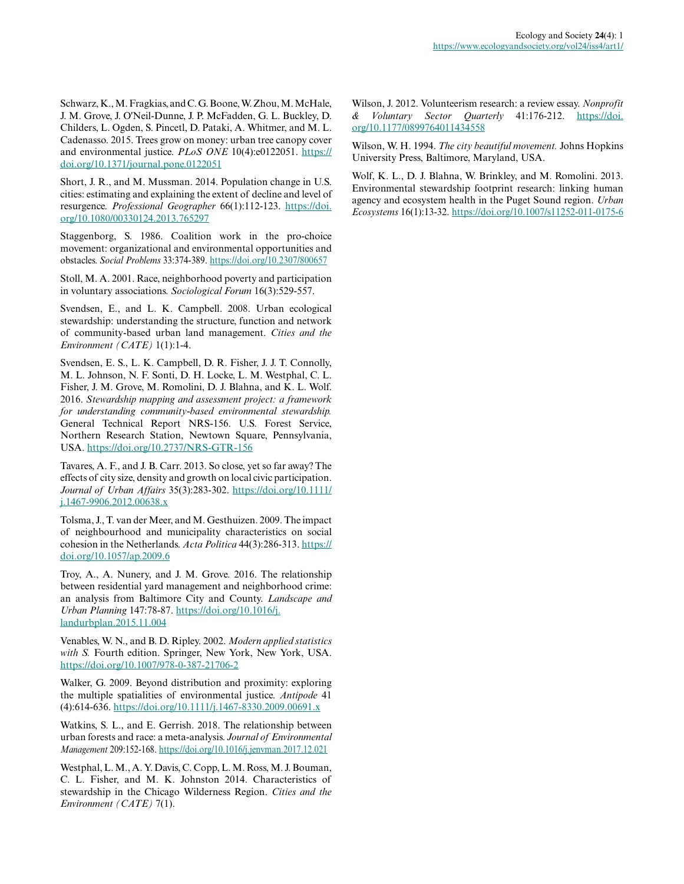Schwarz, K., M. Fragkias, and C. G. Boone, W. Zhou, M. McHale, J. M. Grove, J. O'Neil-Dunne, J. P. McFadden, G. L. Buckley, D. Childers, L. Ogden, S. Pincetl, D. Pataki, A. Whitmer, and M. L. Cadenasso. 2015. Trees grow on money: urban tree canopy cover and environmental justice. *PLoS ONE* 10(4):e0122051. [https://](https://doi.org/10.1371/journal.pone.0122051) [doi.org/10.1371/journal.pone.0122051](https://doi.org/10.1371/journal.pone.0122051)

Short, J. R., and M. Mussman. 2014. Population change in U.S. cities: estimating and explaining the extent of decline and level of resurgence. *Professional Geographer* 66(1):112-123. [https://doi.](https://doi.org/10.1080/00330124.2013.765297) [org/10.1080/00330124.2013.765297](https://doi.org/10.1080/00330124.2013.765297)

Staggenborg, S. 1986. Coalition work in the pro-choice movement: organizational and environmental opportunities and obstacles. *Social Problems* 33:374-389. <https://doi.org/10.2307/800657>

Stoll, M. A. 2001. Race, neighborhood poverty and participation in voluntary associations. *Sociological Forum* 16(3):529-557.

Svendsen, E., and L. K. Campbell. 2008. Urban ecological stewardship: understanding the structure, function and network of community-based urban land management. *Cities and the Environment (CATE)* 1(1):1-4.

Svendsen, E. S., L. K. Campbell, D. R. Fisher, J. J. T. Connolly, M. L. Johnson, N. F. Sonti, D. H. Locke, L. M. Westphal, C. L. Fisher, J. M. Grove, M. Romolini, D. J. Blahna, and K. L. Wolf. 2016. *Stewardship mapping and assessment project: a framework for understanding community-based environmental stewardship.* General Technical Report NRS-156. U.S. Forest Service, Northern Research Station, Newtown Square, Pennsylvania, USA.<https://doi.org/10.2737/NRS-GTR-156>

Tavares, A. F., and J. B. Carr. 2013. So close, yet so far away? The effects of city size, density and growth on local civic participation. *Journal of Urban Affairs* 35(3):283-302. [https://doi.org/10.1111/](https://doi.org/10.1111/j.1467-9906.2012.00638.x) [j.1467-9906.2012.00638.x](https://doi.org/10.1111/j.1467-9906.2012.00638.x)

Tolsma, J., T. van der Meer, and M. Gesthuizen. 2009. The impact of neighbourhood and municipality characteristics on social cohesion in the Netherlands. *Acta Politica* 44(3):286-313. [https://](https://doi.org/10.1057/ap.2009.6) [doi.org/10.1057/ap.2009.6](https://doi.org/10.1057/ap.2009.6)

Troy, A., A. Nunery, and J. M. Grove. 2016. The relationship between residential yard management and neighborhood crime: an analysis from Baltimore City and County. *Landscape and Urban Planning* 147:78-87. [https://doi.org/10.1016/j.](https://doi.org/10.1016/j.landurbplan.2015.11.004) [landurbplan.2015.11.004](https://doi.org/10.1016/j.landurbplan.2015.11.004) 

Venables, W. N., and B. D. Ripley. 2002. *Modern applied statistics with S.* Fourth edition. Springer, New York, New York, USA. <https://doi.org/10.1007/978-0-387-21706-2>

Walker, G. 2009. Beyond distribution and proximity: exploring the multiple spatialities of environmental justice. *Antipode* 41 (4):614-636. <https://doi.org/10.1111/j.1467-8330.2009.00691.x>

Watkins, S. L., and E. Gerrish. 2018. The relationship between urban forests and race: a meta-analysis. *Journal of Environmental Management* 209:152-168.<https://doi.org/10.1016/j.jenvman.2017.12.021>

Westphal, L. M., A. Y. Davis, C. Copp, L. M. Ross, M. J. Bouman, C. L. Fisher, and M. K. Johnston 2014. Characteristics of stewardship in the Chicago Wilderness Region. *Cities and the Environment (CATE)* 7(1).

Wilson, J. 2012. Volunteerism research: a review essay. *Nonprofit & Voluntary Sector Quarterly* 41:176-212. [https://doi.](https://doi.org/10.1177/0899764011434558) [org/10.1177/0899764011434558](https://doi.org/10.1177/0899764011434558)

Wilson, W. H. 1994. *The city beautiful movement.* Johns Hopkins University Press, Baltimore, Maryland, USA.

Wolf, K. L., D. J. Blahna, W. Brinkley, and M. Romolini. 2013. Environmental stewardship footprint research: linking human agency and ecosystem health in the Puget Sound region. *Urban Ecosystems* 16(1):13-32.<https://doi.org/10.1007/s11252-011-0175-6>